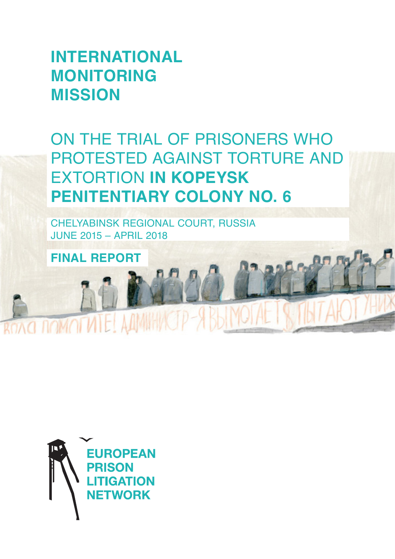# **INTERNATIONAL MONITORING MISSION**

ON THE TRIAL OF PRISONERS WHO PROTESTED AGAINST TORTURE AND EXTORTION **IN KOPEYSK PENITENTIARY COLONY NO. 6**

CHELYABINSK REGIONAL COURT, RUSSIA JUNE 2015 – APRIL 2018

**FINAL REPORT**

**ROAD DOMOTVITE! AAMIHVCIP** 

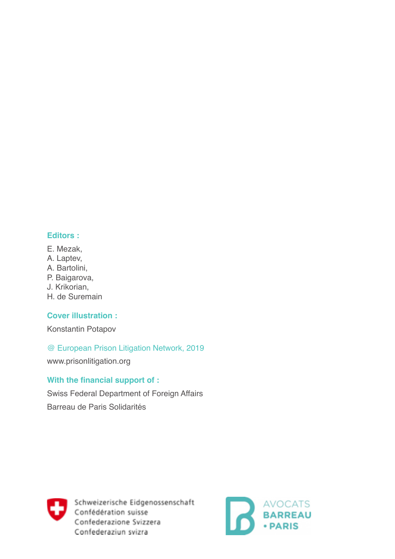#### **Editors :**

- E. Mezak,
- A. Laptev,
- A. Bartolini,
- P. Baigarova,
- J. Krikorian,
- H. de Suremain

# **Cover illustration :**

Konstantin Potapov

# @ European Prison Litigation Network, 2019

www.prisonlitigation.org

# **With the financial support of :**

Swiss Federal Department of Foreign Affairs Barreau de Paris Solidarités



Schweizerische Eidgenossenschaft Confédération suisse Confederazione Svizzera Confederaziun svizra

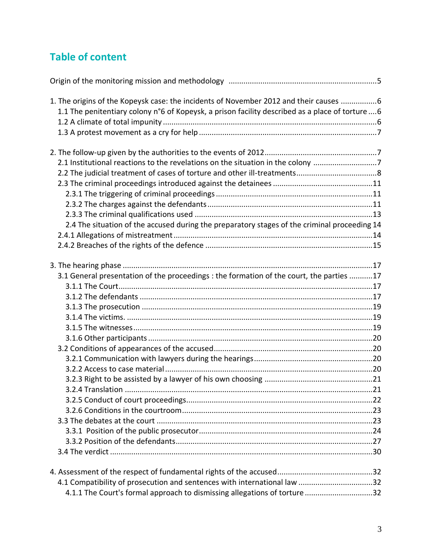# **Table of content**

| 1. The origins of the Kopeysk case: the incidents of November 2012 and their causes 6            |  |
|--------------------------------------------------------------------------------------------------|--|
| 1.1 The penitentiary colony n°6 of Kopeysk, a prison facility described as a place of torture  6 |  |
|                                                                                                  |  |
|                                                                                                  |  |
|                                                                                                  |  |
|                                                                                                  |  |
| 2.1 Institutional reactions to the revelations on the situation in the colony 7                  |  |
|                                                                                                  |  |
|                                                                                                  |  |
|                                                                                                  |  |
|                                                                                                  |  |
|                                                                                                  |  |
| 2.4 The situation of the accused during the preparatory stages of the criminal proceeding 14     |  |
|                                                                                                  |  |
|                                                                                                  |  |
|                                                                                                  |  |
| 3.1 General presentation of the proceedings : the formation of the court, the parties 17         |  |
|                                                                                                  |  |
|                                                                                                  |  |
|                                                                                                  |  |
|                                                                                                  |  |
|                                                                                                  |  |
|                                                                                                  |  |
|                                                                                                  |  |
|                                                                                                  |  |
|                                                                                                  |  |
|                                                                                                  |  |
| 3.2.4 Translation                                                                                |  |
|                                                                                                  |  |
|                                                                                                  |  |
|                                                                                                  |  |
|                                                                                                  |  |
|                                                                                                  |  |
|                                                                                                  |  |
|                                                                                                  |  |
|                                                                                                  |  |
| 4.1.1 The Court's formal approach to dismissing allegations of torture 32                        |  |
|                                                                                                  |  |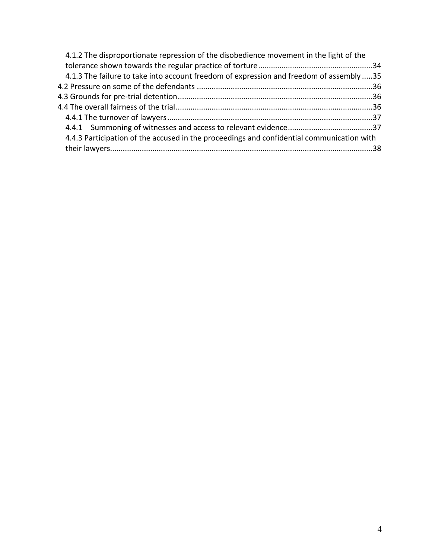| 4.1.3 The failure to take into account freedom of expression and freedom of assembly 35   |
|-------------------------------------------------------------------------------------------|
|                                                                                           |
|                                                                                           |
|                                                                                           |
|                                                                                           |
|                                                                                           |
| 4.4.3 Participation of the accused in the proceedings and confidential communication with |
|                                                                                           |
|                                                                                           |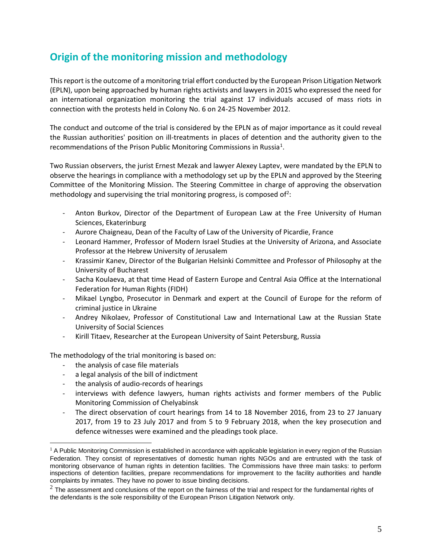# **Origin of the monitoring mission and methodology**

This report is the outcome of a monitoring trial effort conducted by the European Prison Litigation Network (EPLN), upon being approached by human rights activists and lawyers in 2015 who expressed the need for an international organization monitoring the trial against 17 individuals accused of mass riots in connection with the protests held in Colony No. 6 on 24-25 November 2012.

The conduct and outcome of the trial is considered by the EPLN as of major importance as it could reveal the Russian authorities' position on ill-treatments in places of detention and the authority given to the recommendations of the Prison Public Monitoring Commissions in Russia<sup>1</sup>.

Two Russian observers, the jurist Ernest Mezak and lawyer Alexey Laptev, were mandated by the EPLN to observe the hearings in compliance with a methodology set up by the EPLN and approved by the Steering Committee of the Monitoring Mission. The Steering Committee in charge of approving the observation methodology and supervising the trial monitoring progress, is composed of<sup>2</sup>:

- Anton Burkov, Director of the Department of European Law at the Free University of Human Sciences, Ekaterinburg
- Aurore Chaigneau, Dean of the Faculty of Law of the University of Picardie, France
- Leonard Hammer, Professor of Modern Israel Studies at the University of Arizona, and Associate Professor at the Hebrew University of Jerusalem
- Krassimir Kanev, Director of the Bulgarian Helsinki Committee and Professor of Philosophy at the University of Bucharest
- Sacha Koulaeva, at that time Head of Eastern Europe and Central Asia Office at the International Federation for Human Rights (FIDH)
- Mikael Lyngbo, Prosecutor in Denmark and expert at the Council of Europe for the reform of criminal justice in Ukraine
- Andrey Nikolaev, Professor of Constitutional Law and International Law at the Russian State University of Social Sciences
- Kirill Titaev, Researcher at the European University of Saint Petersburg, Russia

The methodology of the trial monitoring is based on:

- the analysis of case file materials
- a legal analysis of the bill of indictment
- the analysis of audio-records of hearings
- interviews with defence lawyers, human rights activists and former members of the Public Monitoring Commission of Chelyabinsk
- The direct observation of court hearings from 14 to 18 November 2016, from 23 to 27 January 2017, from 19 to 23 July 2017 and from 5 to 9 February 2018, when the key prosecution and defence witnesses were examined and the pleadings took place.

 $1$  A Public Monitoring Commission is established in accordance with applicable legislation in every region of the Russian Federation. They consist of representatives of domestic human rights NGOs and are entrusted with the task of monitoring observance of human rights in detention facilities. The Commissions have three main tasks: to perform inspections of detention facilities, prepare recommendations for improvement to the facility authorities and handle complaints by inmates. They have no power to issue binding decisions.

 $2$  The assessment and conclusions of the report on the fairness of the trial and respect for the fundamental rights of the defendants is the sole responsibility of the European Prison Litigation Network only.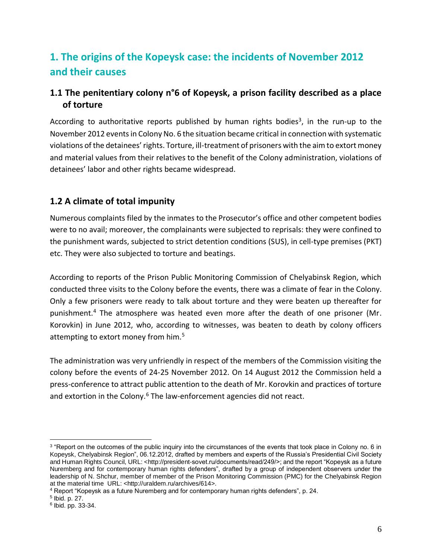# **1. The origins of the Kopeysk case: the incidents of November 2012 and their causes**

# **1.1 The penitentiary colony n°6 of Kopeysk, a prison facility described as a place of torture**

According to authoritative reports published by human rights bodies<sup>3</sup>, in the run-up to the November 2012 events in Colony No. 6 the situation became critical in connection with systematic violations of the detainees' rights. Torture, ill-treatment of prisoners with the aim to extort money and material values from their relatives to the benefit of the Colony administration, violations of detainees' labor and other rights became widespread.

# **1.2 A climate of total impunity**

Numerous complaints filed by the inmates to the Prosecutor's office and other competent bodies were to no avail; moreover, the complainants were subjected to reprisals: they were confined to the punishment wards, subjected to strict detention conditions (SUS), in cell-type premises (PKT) etc. They were also subjected to torture and beatings.

According to reports of the Prison Public Monitoring Commission of Chelyabinsk Region, which conducted three visits to the Colony before the events, there was a climate of fear in the Colony. Only a few prisoners were ready to talk about torture and they were beaten up thereafter for punishment.<sup>4</sup> The atmosphere was heated even more after the death of one prisoner (Mr. Korovkin) in June 2012, who, according to witnesses, was beaten to death by colony officers attempting to extort money from him.<sup>5</sup>

The administration was very unfriendly in respect of the members of the Commission visiting the colony before the events of 24-25 November 2012. On 14 August 2012 the Commission held a press-conference to attract public attention to the death of Mr. Korovkin and practices of torture and extortion in the Colony. $6$  The law-enforcement agencies did not react.

<sup>&</sup>lt;sup>3</sup> "Report on the outcomes of the public inquiry into the circumstances of the events that took place in Colony no. 6 in Kopeysk, Chelyabinsk Region", 06.12.2012, drafted by members and experts of the Russia's Presidential Civil Society and Human Rights Council, URL: <http://president-sovet.ru/documents/read/249/>; and the report "Kopeysk as a future Nuremberg and for contemporary human rights defenders", drafted by a group of independent observers under the leadership of N. Shchur, member of member of the Prison Monitoring Commission (PMC) for the Chelyabinsk Region at the material time URL: <http://uraldem.ru/archives/614>.

<sup>4</sup> Report "Kopeysk as a future Nuremberg and for contemporary human rights defenders", p. 24.

<sup>5</sup> Ibid. p. 27.

<sup>6</sup> Ibid. pp. 33-34.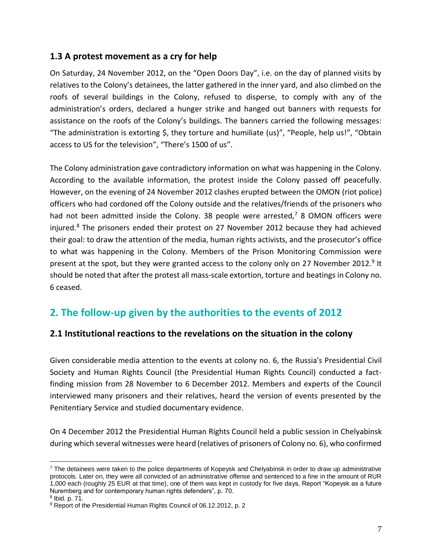### **1.3 A protest movement as a cry for help**

On Saturday, 24 November 2012, on the "Open Doors Day", i.e. on the day of planned visits by relatives to the Colony's detainees, the latter gathered in the inner yard, and also climbed on the roofs of several buildings in the Colony, refused to disperse, to comply with any of the administration's orders, declared a hunger strike and hanged out banners with requests for assistance on the roofs of the Colony's buildings. The banners carried the following messages: "The administration is extorting \$, they torture and humiliate (us)", "People, help us!", "Obtain access to US for the television", "There's 1500 of us".

The Colony administration gave contradictory information on what was happening in the Colony. According to the available information, the protest inside the Colony passed off peacefully. However, on the evening of 24 November 2012 clashes erupted between the OMON (riot police) officers who had cordoned off the Colony outside and the relatives/friends of the prisoners who had not been admitted inside the Colony. 38 people were arrested,<sup>7</sup> 8 OMON officers were injured.<sup>8</sup> The prisoners ended their protest on 27 November 2012 because they had achieved their goal: to draw the attention of the media, human rights activists, and the prosecutor's office to what was happening in the Colony. Members of the Prison Monitoring Commission were present at the spot, but they were granted access to the colony only on 27 November 2012.<sup>9</sup> It should be noted that after the protest all mass-scale extortion, torture and beatings in Colony no. 6 ceased.

# **2. The follow-up given by the authorities to the events of 2012**

# **2.1 Institutional reactions to the revelations on the situation in the colony**

Given considerable media attention to the events at colony no. 6, the Russia's Presidential Civil Society and Human Rights Council (the Presidential Human Rights Council) conducted a factfinding mission from 28 November to 6 December 2012. Members and experts of the Council interviewed many prisoners and their relatives, heard the version of events presented by the Penitentiary Service and studied documentary evidence.

On 4 December 2012 the Presidential Human Rights Council held a public session in Chelyabinsk during which several witnesses were heard (relatives of prisoners of Colony no. 6), who confirmed

 $7$  The detainees were taken to the police departments of Kopeysk and Chelyabinsk in order to draw up administrative protocols. Later on, they were all convicted of an administrative offense and sentenced to a fine in the amount of RUR 1,000 each (roughly 25 EUR at that time), one of them was kept in custody for five days, Report "Kopeysk as a future Nuremberg and for contemporary human rights defenders", p. 70.

<sup>8</sup> Ibid. p. 71.

<sup>&</sup>lt;sup>9</sup> Report of the Presidential Human Rights Council of 06.12.2012, p. 2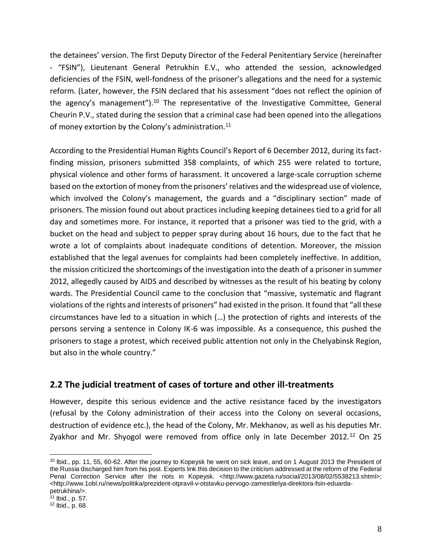the detainees' version. The first Deputy Director of the Federal Penitentiary Service (hereinafter - "FSIN"), Lieutenant General Petrukhin E.V., who attended the session, acknowledged deficiencies of the FSIN, well-fondness of the prisoner's allegations and the need for a systemic reform. (Later, however, the FSIN declared that his assessment "does not reflect the opinion of the agency's management").<sup>10</sup> The representative of the Investigative Committee, General Cheurin P.V., stated during the session that a criminal case had been opened into the allegations of money extortion by the Colony's administration.<sup>11</sup>

According to the Presidential Human Rights Council's Report of 6 December 2012, during its factfinding mission, prisoners submitted 358 complaints, of which 255 were related to torture, physical violence and other forms of harassment. It uncovered a large-scale corruption scheme based on the extortion of money from the prisoners' relatives and the widespread use of violence, which involved the Colony's management, the guards and a "disciplinary section" made of prisoners. The mission found out about practices including keeping detainees tied to a grid for all day and sometimes more. For instance, it reported that a prisoner was tied to the grid, with a bucket on the head and subject to pepper spray during about 16 hours, due to the fact that he wrote a lot of complaints about inadequate conditions of detention. Moreover, the mission established that the legal avenues for complaints had been completely ineffective. In addition, the mission criticized the shortcomings of the investigation into the death of a prisoner in summer 2012, allegedly caused by AIDS and described by witnesses as the result of his beating by colony wards. The Presidential Council came to the conclusion that "massive, systematic and flagrant violations of the rights and interests of prisoners" had existed in the prison. It found that "all these circumstances have led to a situation in which (…) the protection of rights and interests of the persons serving a sentence in Colony IK-6 was impossible. As a consequence, this pushed the prisoners to stage a protest, which received public attention not only in the Chelyabinsk Region, but also in the whole country."

#### **2.2 The judicial treatment of cases of torture and other ill-treatments**

However, despite this serious evidence and the active resistance faced by the investigators (refusal by the Colony administration of their access into the Colony on several occasions, destruction of evidence etc.), the head of the Colony, Mr. Mekhanov, as well as his deputies Mr. Zyakhor and Mr. Shyogol were removed from office only in late December 2012.<sup>12</sup> On 25

<sup>&</sup>lt;sup>10</sup> Ibid., pp. 11, 55, 60-62. After the journey to Kopeysk he went on sick leave, and on 1 August 2013 the President of the Russia discharged him from his post. Experts link this decision to the criticism addressed at the reform of the Federal Penal Correction Service after the riots in Kopeysk. <http://www.gazeta.ru/social/2013/08/02/5538213.shtml>; <http://www.1obl.ru/news/politika/prezident-otpravil-v-otstavku-pervogo-zamestitelya-direktora-fsin-eduardapetrukhina/>.

<sup>11</sup> Ibid., p. 57.

 $12$  Ibid., p. 68.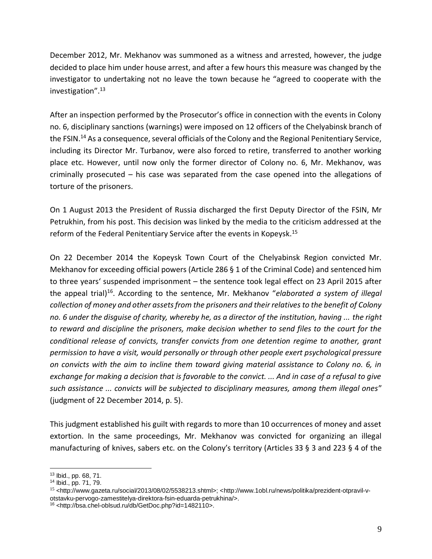December 2012, Mr. Mekhanov was summoned as a witness and arrested, however, the judge decided to place him under house arrest, and after a few hours this measure was changed by the investigator to undertaking not no leave the town because he "agreed to cooperate with the investigation".<sup>13</sup>

After an inspection performed by the Prosecutor's office in connection with the events in Colony no. 6, disciplinary sanctions (warnings) were imposed on 12 officers of the Chelyabinsk branch of the FSIN.<sup>14</sup> As a consequence, several officials of the Colony and the Regional Penitentiary Service, including its Director Mr. Turbanov, were also forced to retire, transferred to another working place etc. However, until now only the former director of Colony no. 6, Mr. Mekhanov, was criminally prosecuted – his case was separated from the case opened into the allegations of torture of the prisoners.

On 1 August 2013 the President of Russia discharged the first Deputy Director of the FSIN, Mr Petrukhin, from his post. This decision was linked by the media to the criticism addressed at the reform of the Federal Penitentiary Service after the events in Kopeysk.<sup>15</sup>

On 22 December 2014 the Kopeysk Town Court of the Chelyabinsk Region convicted Mr. Mekhanov for exceeding official powers (Article 286 § 1 of the Criminal Code) and sentenced him to three years' suspended imprisonment – the sentence took legal effect on 23 April 2015 after the appeal trial)<sup>16</sup>. According to the sentence, Mr. Mekhanov "*elaborated a system of illegal collection of money and other assets from the prisoners and their relatives to the benefit of Colony no. 6 under the disguise of charity, whereby he, as a director of the institution, having ... the right to reward and discipline the prisoners, make decision whether to send files to the court for the conditional release of convicts, transfer convicts from one detention regime to another, grant permission to have a visit, would personally or through other people exert psychological pressure on convicts with the aim to incline them toward giving material assistance to Colony no. 6, in exchange for making a decision that is favorable to the convict. ... And in case of a refusal to give such assistance ... convicts will be subjected to disciplinary measures, among them illegal ones*" (judgment of 22 December 2014, p. 5).

This judgment established his guilt with regards to more than 10 occurrences of money and asset extortion. In the same proceedings, Mr. Mekhanov was convicted for organizing an illegal manufacturing of knives, sabers etc. on the Colony's territory (Articles 33 § 3 and 223 § 4 of the

<sup>13</sup> Ibid., pp. 68, 71.

<sup>14</sup> Ibid., pp. 71, 79.

<sup>&</sup>lt;sup>15</sup> <http://www.gazeta.ru/social/2013/08/02/5538213.shtml>; <http://www.1obl.ru/news/politika/prezident-otpravil-votstavku-pervogo-zamestitelya-direktora-fsin-eduarda-petrukhina/>.

<sup>16</sup> <http://bsa.chel-oblsud.ru/db/GetDoc.php?id=1482110>.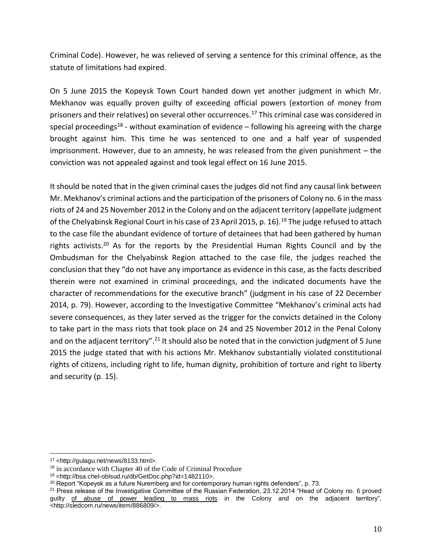Criminal Code). However, he was relieved of serving a sentence for this criminal offence, as the statute of limitations had expired.

On 5 June 2015 the Kopeysk Town Court handed down yet another judgment in which Mr. Mekhanov was equally proven guilty of exceeding official powers (extortion of money from prisoners and their relatives) on several other occurrences.<sup>17</sup> This criminal case was considered in special proceedings<sup>18</sup> - without examination of evidence  $-$  following his agreeing with the charge brought against him. This time he was sentenced to one and a half year of suspended imprisonment. However, due to an amnesty, he was released from the given punishment – the conviction was not appealed against and took legal effect on 16 June 2015.

It should be noted that in the given criminal cases the judges did not find any causal link between Mr. Mekhanov's criminal actions and the participation of the prisoners of Colony no. 6 in the mass riots of 24 and 25 November 2012 in the Colony and on the adjacent territory (appellate judgment of the Chelyabinsk Regional Court in his case of 23 April 2015, p. 16).<sup>19</sup> The judge refused to attach to the case file the abundant evidence of torture of detainees that had been gathered by human rights activists.<sup>20</sup> As for the reports by the Presidential Human Rights Council and by the Ombudsman for the Chelyabinsk Region attached to the case file, the judges reached the conclusion that they "do not have any importance as evidence in this case, as the facts described therein were not examined in criminal proceedings, and the indicated documents have the character of recommendations for the executive branch" (judgment in his case of 22 December 2014, p. 79). However, according to the Investigative Committee "Mekhanov's criminal acts had severe consequences, as they later served as the trigger for the convicts detained in the Colony to take part in the mass riots that took place on 24 and 25 November 2012 in the Penal Colony and on the adjacent territory".<sup>21</sup> It should also be noted that in the conviction judgment of 5 June 2015 the judge stated that with his actions Mr. Mekhanov substantially violated constitutional rights of citizens, including right to life, human dignity, prohibition of torture and right to liberty and security (p. 15).

<sup>17</sup> <http://gulagu.net/news/8133.html>.

<sup>&</sup>lt;sup>18</sup> in accordance with Chapter 40 of the Code of Criminal Procedure

<sup>19</sup> <http://bsa.chel-oblsud.ru/db/GetDoc.php?id=1482110>.

 $20$  Report "Kopeysk as a future Nuremberg and for contemporary human rights defenders", p. 73.

<sup>&</sup>lt;sup>21</sup> Press release of the Investigative Committee of the Russian Federation, 23.12.2014 "Head of Colony no. 6 proved guilty of abuse of power leading to mass riots in the Colony and on the adjacent territory", <http://sledcom.ru/news/item/886809/>.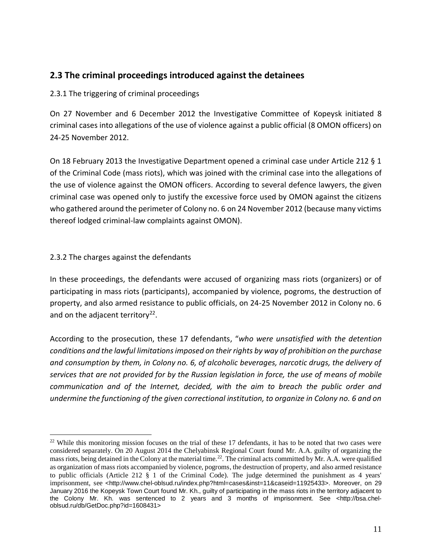### **2.3 The criminal proceedings introduced against the detainees**

2.3.1 The triggering of criminal proceedings

On 27 November and 6 December 2012 the Investigative Committee of Kopeysk initiated 8 criminal cases into allegations of the use of violence against a public official (8 OMON officers) on 24-25 November 2012.

On 18 February 2013 the Investigative Department opened a criminal case under Article 212 § 1 of the Criminal Code (mass riots), which was joined with the criminal case into the allegations of the use of violence against the OMON officers. According to several defence lawyers, the given criminal case was opened only to justify the excessive force used by OMON against the citizens who gathered around the perimeter of Colony no. 6 on 24 November 2012 (because many victims thereof lodged criminal-law complaints against OMON).

#### 2.3.2 The charges against the defendants

In these proceedings, the defendants were accused of organizing mass riots (organizers) or of participating in mass riots (participants), accompanied by violence, pogroms, the destruction of property, and also armed resistance to public officials, on 24-25 November 2012 in Colony no. 6 and on the adjacent territory $22$ .

According to the prosecution, these 17 defendants, "*who were unsatisfied with the detention conditions and the lawful limitations imposed on their rights by way of prohibition on the purchase and consumption by them, in Colony no. 6, of alcoholic beverages, narcotic drugs, the delivery of services that are not provided for by the Russian legislation in force, the use of means of mobile communication and of the Internet, decided, with the aim to breach the public order and undermine the functioning of the given correctional institution, to organize in Colony no. 6 and on* 

 $22$  While this monitoring mission focuses on the trial of these 17 defendants, it has to be noted that two cases were considered separately. On 20 August 2014 the Chelyabinsk Regional Court found Mr. A.A. guilty of organizing the mass riots, being detained in the Colony at the material time.<sup>22</sup>. The criminal acts committed by Mr. A.A. were qualified as organization of mass riots accompanied by violence, pogroms, the destruction of property, and also armed resistance to public officials (Article 212 § 1 of the Criminal Code). The judge determined the punishment as 4 years' imprisonment, see <http://www.chel-oblsud.ru/index.php?html=cases&inst=11&caseid=11925433>. Moreover, on 29 January 2016 the Kopeysk Town Court found Mr. Kh., guilty of participating in the mass riots in the territory adjacent to the Colony Mr. Kh. was sentenced to 2 years and 3 months of imprisonment. See <http://bsa.cheloblsud.ru/db/GetDoc.php?id=1608431>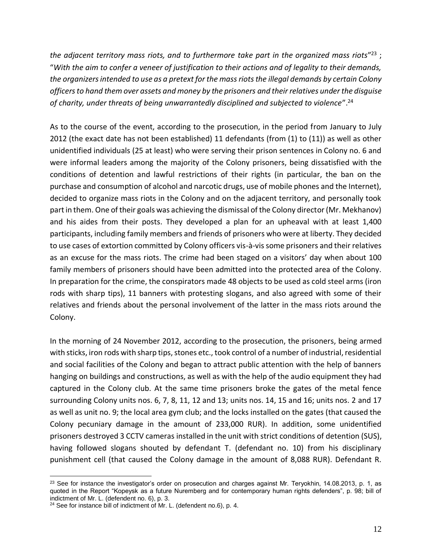*the adjacent territory mass riots, and to furthermore take part in the organized mass riots*" <sup>23</sup> ; "*With the aim to confer a veneer of justification to their actions and of legality to their demands, the organizers intended to use as a pretext for the mass riots the illegal demands by certain Colony officers to hand them over assets and money by the prisoners and their relatives under the disguise of charity, under threats of being unwarrantedly disciplined and subjected to violence*". 24

As to the course of the event, according to the prosecution, in the period from January to July 2012 (the exact date has not been established) 11 defendants (from (1) to (11)) as well as other unidentified individuals (25 at least) who were serving their prison sentences in Colony no. 6 and were informal leaders among the majority of the Colony prisoners, being dissatisfied with the conditions of detention and lawful restrictions of their rights (in particular, the ban on the purchase and consumption of alcohol and narcotic drugs, use of mobile phones and the Internet), decided to organize mass riots in the Colony and on the adjacent territory, and personally took part in them. One of their goals was achieving the dismissal of the Colony director (Mr. Mekhanov) and his aides from their posts. They developed a plan for an upheaval with at least 1,400 participants, including family members and friends of prisoners who were at liberty. They decided to use cases of extortion committed by Colony officers vis-à-vis some prisoners and their relatives as an excuse for the mass riots. The crime had been staged on a visitors' day when about 100 family members of prisoners should have been admitted into the protected area of the Colony. In preparation for the crime, the conspirators made 48 objects to be used as cold steel arms (iron rods with sharp tips), 11 banners with protesting slogans, and also agreed with some of their relatives and friends about the personal involvement of the latter in the mass riots around the Colony.

In the morning of 24 November 2012, according to the prosecution, the prisoners, being armed with sticks, iron rods with sharp tips, stones etc., took control of a number of industrial, residential and social facilities of the Colony and began to attract public attention with the help of banners hanging on buildings and constructions, as well as with the help of the audio equipment they had captured in the Colony club. At the same time prisoners broke the gates of the metal fence surrounding Colony units nos. 6, 7, 8, 11, 12 and 13; units nos. 14, 15 and 16; units nos. 2 and 17 as well as unit no. 9; the local area gym club; and the locks installed on the gates (that caused the Colony pecuniary damage in the amount of 233,000 RUR). In addition, some unidentified prisoners destroyed 3 CCTV cameras installed in the unit with strict conditions of detention (SUS), having followed slogans shouted by defendant T. (defendant no. 10) from his disciplinary punishment cell (that caused the Colony damage in the amount of 8,088 RUR). Defendant R.

 $23$  See for instance the investigator's order on prosecution and charges against Mr. Teryokhin, 14.08.2013, p. 1, as quoted in the Report "Kopeysk as a future Nuremberg and for contemporary human rights defenders", p. 98; bill of indictment of Mr. L. (defendent no. 6), p. 3.

<sup>&</sup>lt;sup>24</sup> See for instance bill of indictment of Mr. L. (defendent no.6), p. 4.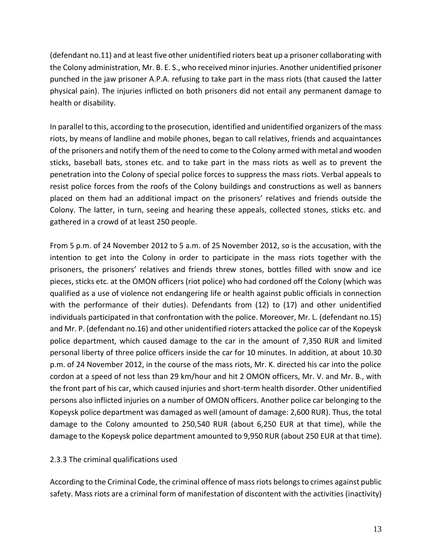(defendant no.11) and at least five other unidentified rioters beat up a prisoner collaborating with the Colony administration, Mr. B. E. S., who received minor injuries. Another unidentified prisoner punched in the jaw prisoner A.P.A. refusing to take part in the mass riots (that caused the latter physical pain). The injuries inflicted on both prisoners did not entail any permanent damage to health or disability.

In parallel to this, according to the prosecution, identified and unidentified organizers of the mass riots, by means of landline and mobile phones, began to call relatives, friends and acquaintances of the prisoners and notify them of the need to come to the Colony armed with metal and wooden sticks, baseball bats, stones etc. and to take part in the mass riots as well as to prevent the penetration into the Colony of special police forces to suppress the mass riots. Verbal appeals to resist police forces from the roofs of the Colony buildings and constructions as well as banners placed on them had an additional impact on the prisoners' relatives and friends outside the Colony. The latter, in turn, seeing and hearing these appeals, collected stones, sticks etc. and gathered in a crowd of at least 250 people.

From 5 p.m. of 24 November 2012 to 5 a.m. of 25 November 2012, so is the accusation, with the intention to get into the Colony in order to participate in the mass riots together with the prisoners, the prisoners' relatives and friends threw stones, bottles filled with snow and ice pieces, sticks etc. at the OMON officers (riot police) who had cordoned off the Colony (which was qualified as a use of violence not endangering life or health against public officials in connection with the performance of their duties). Defendants from (12) to (17) and other unidentified individuals participated in that confrontation with the police. Moreover, Mr. L. (defendant no.15) and Mr. P. (defendant no.16) and other unidentified rioters attacked the police car of the Kopeysk police department, which caused damage to the car in the amount of 7,350 RUR and limited personal liberty of three police officers inside the car for 10 minutes. In addition, at about 10.30 p.m. of 24 November 2012, in the course of the mass riots, Mr. K. directed his car into the police cordon at a speed of not less than 29 km/hour and hit 2 OMON officers, Mr. V. and Mr. B., with the front part of his car, which caused injuries and short-term health disorder. Other unidentified persons also inflicted injuries on a number of OMON officers. Another police car belonging to the Kopeysk police department was damaged as well (amount of damage: 2,600 RUR). Thus, the total damage to the Colony amounted to 250,540 RUR (about 6,250 EUR at that time), while the damage to the Kopeysk police department amounted to 9,950 RUR (about 250 EUR at that time).

#### 2.3.3 The criminal qualifications used

According to the Criminal Code, the criminal offence of mass riots belongs to crimes against public safety. Mass riots are a criminal form of manifestation of discontent with the activities (inactivity)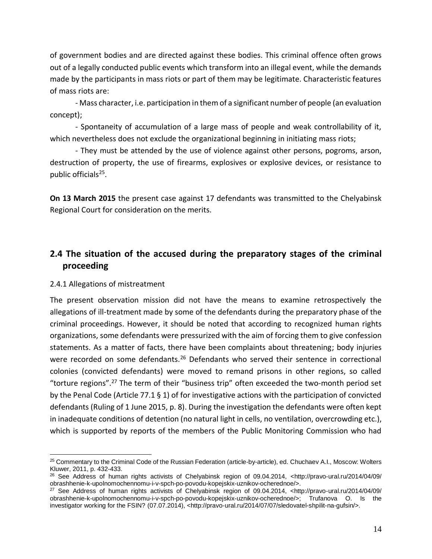of government bodies and are directed against these bodies. This criminal offence often grows out of a legally conducted public events which transform into an illegal event, while the demands made by the participants in mass riots or part of them may be legitimate. Characteristic features of mass riots are:

- Mass character, i.e. participation in them of a significant number of people (an evaluation concept);

- Spontaneity of accumulation of a large mass of people and weak controllability of it, which nevertheless does not exclude the organizational beginning in initiating mass riots;

- They must be attended by the use of violence against other persons, pogroms, arson, destruction of property, the use of firearms, explosives or explosive devices, or resistance to public officials<sup>25</sup>.

**On 13 March 2015** the present case against 17 defendants was transmitted to the Chelyabinsk Regional Court for consideration on the merits.

# **2.4 The situation of the accused during the preparatory stages of the criminal proceeding**

#### 2.4.1 Allegations of mistreatment

The present observation mission did not have the means to examine retrospectively the allegations of ill-treatment made by some of the defendants during the preparatory phase of the criminal proceedings. However, it should be noted that according to recognized human rights organizations, some defendants were pressurized with the aim of forcing them to give confession statements. As a matter of facts, there have been complaints about threatening; body injuries were recorded on some defendants.<sup>26</sup> Defendants who served their sentence in correctional colonies (convicted defendants) were moved to remand prisons in other regions, so called "torture regions".<sup>27</sup> The term of their "business trip" often exceeded the two-month period set by the Penal Code (Article 77.1 § 1) of for investigative actions with the participation of convicted defendants (Ruling of 1 June 2015, p. 8). During the investigation the defendants were often kept in inadequate conditions of detention (no natural light in cells, no ventilation, overcrowding etc.), which is supported by reports of the members of the Public Monitoring Commission who had

<sup>25</sup> Commentary to the Criminal Code of the Russian Federation (article-by-article), ed. Chuchaev A.I., Moscow: Wolters Kluwer, 2011, p. 432-433.

<sup>26</sup> See Address of human rights activists of Chelyabinsk region of 09.04.2014, <http://pravo-ural.ru/2014/04/09/ obrashhenie-k-upolnomochennomu-i-v-spch-po-povodu-kopejskix-uznikov-ocherednoe/>.

<sup>27</sup> See Address of human rights activists of Chelyabinsk region of 09.04.2014, <http://pravo-ural.ru/2014/04/09/ obrashhenie-k-upolnomochennomu-i-v-spch-po-povodu-kopejskix-uznikov-ocherednoe/>; Trufanova O. Is the investigator working for the FSIN? (07.07.2014), <http://pravo-ural.ru/2014/07/07/sledovatel-shpilit-na-gufsin/>.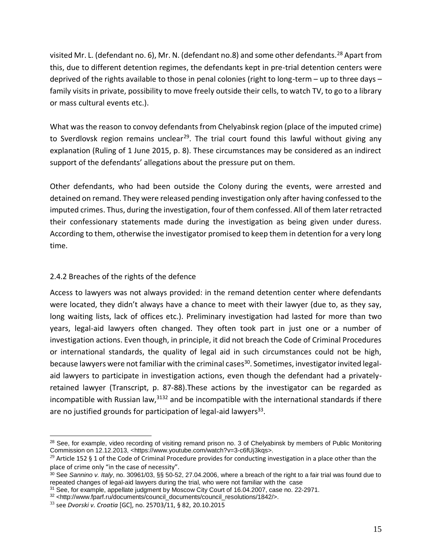visited Mr. L. (defendant no. 6), Mr. N. (defendant no.8) and some other defendants.<sup>28</sup> Apart from this, due to different detention regimes, the defendants kept in pre-trial detention centers were deprived of the rights available to those in penal colonies (right to long-term – up to three days – family visits in private, possibility to move freely outside their cells, to watch TV, to go to a library or mass cultural events etc.).

What was the reason to convoy defendants from Chelyabinsk region (place of the imputed crime) to Sverdlovsk region remains unclear<sup>29</sup>. The trial court found this lawful without giving any explanation (Ruling of 1 June 2015, p. 8). These circumstances may be considered as an indirect support of the defendants' allegations about the pressure put on them.

Other defendants, who had been outside the Colony during the events, were arrested and detained on remand. They were released pending investigation only after having confessed to the imputed crimes. Thus, during the investigation, four of them confessed. All of them later retracted their confessionary statements made during the investigation as being given under duress. According to them, otherwise the investigator promised to keep them in detention for a very long time.

#### 2.4.2 Breaches of the rights of the defence

Access to lawyers was not always provided: in the remand detention center where defendants were located, they didn't always have a chance to meet with their lawyer (due to, as they say, long waiting lists, lack of offices etc.). Preliminary investigation had lasted for more than two years, legal-aid lawyers often changed. They often took part in just one or a number of investigation actions. Even though, in principle, it did not breach the Code of Criminal Procedures or international standards, the quality of legal aid in such circumstances could not be high, because lawyers were not familiar with the criminal cases<sup>30</sup>. Sometimes, investigator invited legalaid lawyers to participate in investigation actions, even though the defendant had a privatelyretained lawyer (Transcript, p. 87-88).These actions by the investigator can be regarded as incompatible with Russian law,  $3132$  and be incompatible with the international standards if there are no justified grounds for participation of legal-aid lawyers $^{33}$ .

<sup>&</sup>lt;sup>28</sup> See, for example, video recording of visiting remand prison no. 3 of Chelyabinsk by members of Public Monitoring Commission on 12.12.2013, <https://www.youtube.com/watch?v=3-c6fUj3kqs>.

<sup>&</sup>lt;sup>29</sup> Article 152 § 1 of the Code of Criminal Procedure provides for conducting investigation in a place other than the place of crime only "in the case of necessity".

<sup>30</sup> See *Sannino v. Italy*, no. 30961/03, §§ 50-52, 27.04.2006, where a breach of the right to a fair trial was found due to repeated changes of legal-aid lawyers during the trial, who were not familiar with the case

<sup>&</sup>lt;sup>31</sup> See, for example, appellate judgment by Moscow City Court of 16.04.2007, case no. 22-2971.

<sup>32</sup> <http://www.fparf.ru/documents/council\_documents/council\_resolutions/1842/>.

<sup>33</sup> see *Dvorski v. Croatia* [GC], no. 25703/11, § 82, 20.10.2015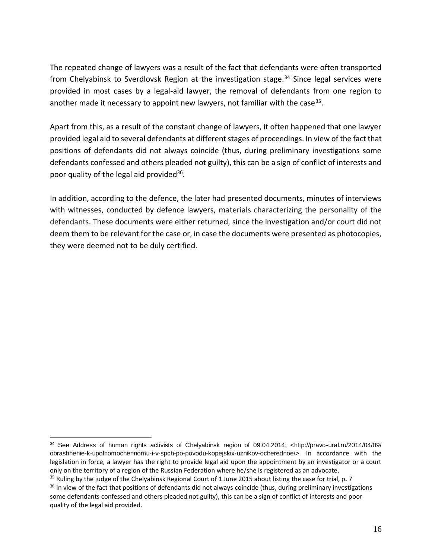The repeated change of lawyers was a result of the fact that defendants were often transported from Chelyabinsk to Sverdlovsk Region at the investigation stage.<sup>34</sup> Since legal services were provided in most cases by a legal-aid lawyer, the removal of defendants from one region to another made it necessary to appoint new lawyers, not familiar with the case<sup>35</sup>.

Apart from this, as a result of the constant change of lawyers, it often happened that one lawyer provided legal aid to several defendants at different stages of proceedings. In view of the fact that positions of defendants did not always coincide (thus, during preliminary investigations some defendants confessed and others pleaded not guilty), this can be a sign of conflict of interests and poor quality of the legal aid provided<sup>36</sup>.

In addition, according to the defence, the later had presented documents, minutes of interviews with witnesses, conducted by defence lawyers, materials characterizing the personality of the defendants. These documents were either returned, since the investigation and/or court did not deem them to be relevant for the case or, in case the documents were presented as photocopies, they were deemed not to be duly certified.

 $35$  Ruling by the judge of the Chelyabinsk Regional Court of 1 June 2015 about listing the case for trial, p. 7

<sup>34</sup> See Address of human rights activists of Chelyabinsk region of 09.04.2014, <http://pravo-ural.ru/2014/04/09/ obrashhenie-k-upolnomochennomu-i-v-spch-po-povodu-kopejskix-uznikov-ocherednoe/>. In accordance with the legislation in force, a lawyer has the right to provide legal aid upon the appointment by an investigator or a court only on the territory of a region of the Russian Federation where he/she is registered as an advocate.

 $36$  In view of the fact that positions of defendants did not always coincide (thus, during preliminary investigations some defendants confessed and others pleaded not guilty), this can be a sign of conflict of interests and poor quality of the legal aid provided.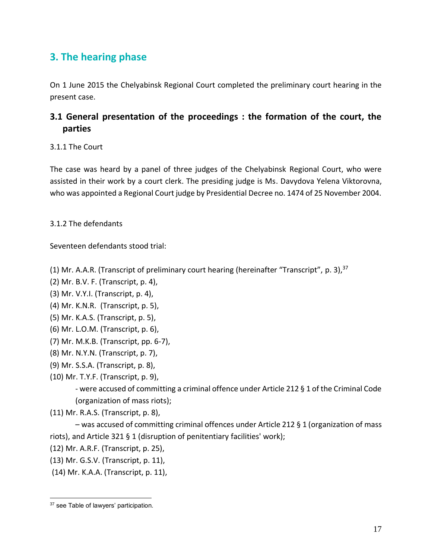# **3. The hearing phase**

On 1 June 2015 the Chelyabinsk Regional Court completed the preliminary court hearing in the present case.

# **3.1 General presentation of the proceedings : the formation of the court, the parties**

#### 3.1.1 The Court

The case was heard by a panel of three judges of the Chelyabinsk Regional Court, who were assisted in their work by a court clerk. The presiding judge is Ms. Davydova Yelena Viktorovna, who was appointed a Regional Court judge by Presidential Decree no. 1474 of 25 November 2004.

3.1.2 The defendants

Seventeen defendants stood trial:

- (1) Mr. A.A.R. (Transcript of preliminary court hearing (hereinafter "Transcript", p. 3),<sup>37</sup>
- (2) Mr. B.V. F. (Transcript, p. 4),
- (3) Mr. V.Y.I. (Transcript, p. 4),
- (4) Mr. K.N.R. (Transcript, p. 5),
- (5) Mr. K.A.S. (Transcript, p. 5),
- (6) Mr. L.O.M. (Transcript, p. 6),
- (7) Mr. M.K.B. (Transcript, pp. 6-7),
- (8) Mr. N.Y.N. (Transcript, p. 7),
- (9) Mr. S.S.A. (Transcript, p. 8),
- (10) Mr. T.Y.F. (Transcript, p. 9),

- were accused of committing a criminal offence under Article 212 § 1 of the Criminal Code (organization of mass riots);

(11) Mr. R.A.S. (Transcript, p. 8),

– was accused of committing criminal offences under Article 212 § 1 (organization of mass riots), and Article 321 § 1 (disruption of penitentiary facilities' work);

- (12) Mr. A.R.F. (Transcript, p. 25),
- (13) Mr. G.S.V. (Transcript, p. 11),
- (14) Mr. K.A.A. (Transcript, p. 11),

<sup>&</sup>lt;sup>37</sup> see Table of lawyers' participation.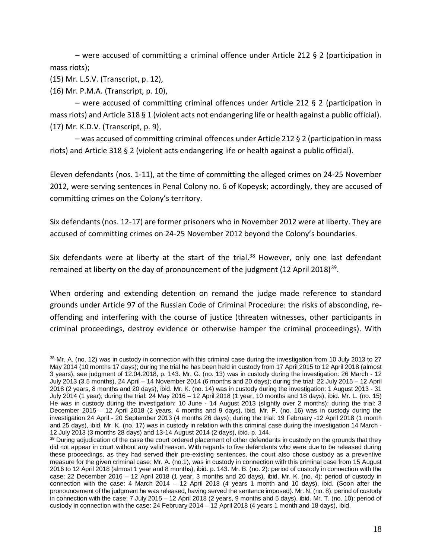– were accused of committing a criminal offence under Article 212 § 2 (participation in mass riots);

(15) Mr. L.S.V. (Transcript, p. 12),

(16) Mr. P.M.A. (Transcript, p. 10),

– were accused of committing criminal offences under Article 212 § 2 (participation in mass riots) and Article 318 § 1 (violent acts not endangering life or health against a public official). (17) Mr. K.D.V. (Transcript, p. 9),

– was accused of committing criminal offences under Article 212 § 2 (participation in mass riots) and Article 318 § 2 (violent acts endangering life or health against a public official).

Eleven defendants (nos. 1-11), at the time of committing the alleged crimes on 24-25 November 2012, were serving sentences in Penal Colony no. 6 of Kopeysk; accordingly, they are accused of committing crimes on the Colony's territory.

Six defendants (nos. 12-17) are former prisoners who in November 2012 were at liberty. They are accused of committing crimes on 24-25 November 2012 beyond the Colony's boundaries.

Six defendants were at liberty at the start of the trial.<sup>38</sup> However, only one last defendant remained at liberty on the day of pronouncement of the judgment (12 April 2018)<sup>39</sup>.

When ordering and extending detention on remand the judge made reference to standard grounds under Article 97 of the Russian Code of Criminal Procedure: the risks of absconding, reoffending and interfering with the course of justice (threaten witnesses, other participants in criminal proceedings, destroy evidence or otherwise hamper the criminal proceedings). With

 $38$  Mr. A. (no. 12) was in custody in connection with this criminal case during the investigation from 10 July 2013 to 27 May 2014 (10 months 17 days); during the trial he has been held in custody from 17 April 2015 to 12 April 2018 (almost 3 years), see judgment of 12.04.2018, p. 143. Mr. G. (no. 13) was in custody during the investigation: 26 March - 12 July 2013 (3.5 months), 24 April – 14 November 2014 (6 months and 20 days); during the trial: 22 July 2015 – 12 April 2018 (2 years, 8 months and 20 days), ibid. Mr. K. (no. 14) was in custody during the investigation: 1 August 2013 - 31 July 2014 (1 year); during the trial: 24 May 2016 – 12 April 2018 (1 year, 10 months and 18 days), ibid. Mr. L. (no. 15) He was in custody during the investigation: 10 June - 14 August 2013 (slightly over 2 months); during the trial: 3 December 2015 – 12 April 2018 (2 years, 4 months and 9 days), ibid. Mr. P. (no. 16) was in custody during the investigation 24 April - 20 September 2013 (4 months 26 days); during the trial: 19 February -12 April 2018 (1 month and 25 days), ibid. Mr. K. (no. 17) was in custody in relation with this criminal case during the investigation 14 March - 12 July 2013 (3 months 28 days) and 13-14 August 2014 (2 days), ibid. p. 144.

 $39$  During adjudication of the case the court ordered placement of other defendants in custody on the grounds that they did not appear in court without any valid reason. With regards to five defendants who were due to be released during these proceedings, as they had served their pre-existing sentences, the court also chose custody as a preventive measure for the given criminal case: Mr. A. (no.1), was in custody in connection with this criminal case from 15 August 2016 to 12 April 2018 (almost 1 year and 8 months), ibid. p. 143. Mr. B. (no. 2): period of custody in connection with the case: 22 December 2016 – 12 April 2018 (1 year, 3 months and 20 days), ibid. Mr. K. (no. 4): period of custody in connection with the case: 4 March 2014 – 12 April 2018 (4 years 1 month and 10 days), ibid. (Soon after the pronouncement of the judgment he was released, having served the sentence imposed). Mr. N. (no. 8): period of custody in connection with the case: 7 July 2015 – 12 April 2018 (2 years, 9 months and 5 days), ibid. Mr. T. (no. 10): period of custody in connection with the case: 24 February 2014 – 12 April 2018 (4 years 1 month and 18 days), ibid.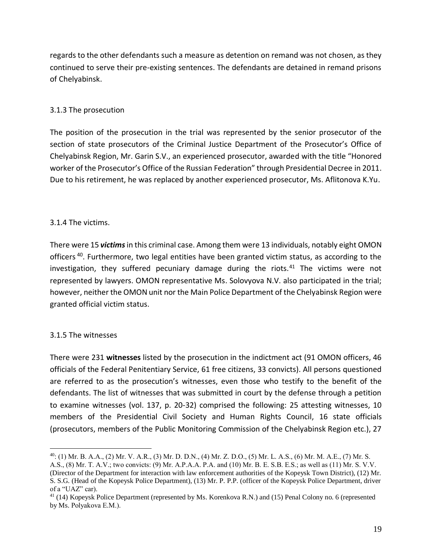regards to the other defendants such a measure as detention on remand was not chosen, as they continued to serve their pre-existing sentences. The defendants are detained in remand prisons of Chelyabinsk.

#### 3.1.3 The prosecution

The position of the prosecution in the trial was represented by the senior prosecutor of the section of state prosecutors of the Criminal Justice Department of the Prosecutor's Office of Chelyabinsk Region, Mr. Garin S.V., an experienced prosecutor, awarded with the title "Honored worker of the Prosecutor's Office of the Russian Federation" through Presidential Decree in 2011. Due to his retirement, he was replaced by another experienced prosecutor, Ms. Aflitonova K.Yu.

#### 3.1.4 The victims.

There were 15 *victims*in this criminal case. Among them were 13 individuals, notably eight OMON officers<sup>40</sup>. Furthermore, two legal entities have been granted victim status, as according to the investigation, they suffered pecuniary damage during the riots.<sup>41</sup> The victims were not represented by lawyers. OMON representative Ms. Solovyova N.V. also participated in the trial; however, neither the OMON unit nor the Main Police Department of the Chelyabinsk Region were granted official victim status.

#### 3.1.5 The witnesses

There were 231 **witnesses** listed by the prosecution in the indictment act (91 OMON officers, 46 officials of the Federal Penitentiary Service, 61 free citizens, 33 convicts). All persons questioned are referred to as the prosecution's witnesses, even those who testify to the benefit of the defendants. The list of witnesses that was submitted in court by the defense through a petition to examine witnesses (vol. 137, p. 20-32) comprised the following: 25 attesting witnesses, 10 members of the Presidential Civil Society and Human Rights Council, 16 state officials (prosecutors, members of the Public Monitoring Commission of the Chelyabinsk Region etc.), 27

 $^{40}$ : (1) Mr. B. A.A., (2) Mr. V. A.R., (3) Mr. D. D.N., (4) Mr. Z. D.O., (5) Mr. L. A.S., (6) Mr. M. A.E., (7) Mr. S.

А.S., (8) Mr. T. А.V.; two convicts: (9) Mr. A.P.A.A. P.А. and (10) Mr. B. E. S.B. Е.S.; as well as (11) Mr. S. V.V. (Director of the Department for interaction with law enforcement authorities of the Kopeysk Town District), (12) Mr. S. S.G. (Head of the Kopeysk Police Department), (13) Mr. P. P.P. (officer of the Kopeysk Police Department, driver of a "UAZ" car).

<sup>41</sup> (14) Kopeysk Police Department (represented by Ms. Korenkova R.N.) and (15) Penal Colony no. 6 (represented by Ms. Polyakova Е.М.).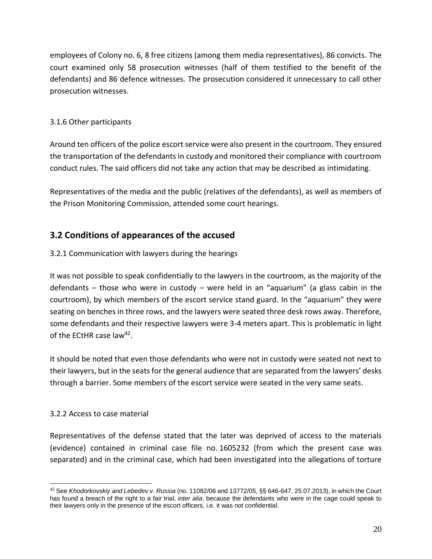employees of Colony no. 6, 8 free citizens (among them media representatives), 86 convicts. The court examined only 58 prosecution witnesses (half of them testified to the benefit of the defendants) and 86 defence witnesses. The prosecution considered it unnecessary to call other prosecution witnesses.

#### 3.1.6 Other participants

Around ten officers of the police escort service were also present in the courtroom. They ensured the transportation of the defendants in custody and monitored their compliance with courtroom conduct rules. The said officers did not take any action that may be described as intimidating.

Representatives of the media and the public (relatives of the defendants), as well as members of the Prison Monitoring Commission, attended some court hearings.

# **3.2 Conditions of appearances of the accused**

#### 3.2.1 Communication with lawyers during the hearings

It was not possible to speak confidentially to the lawyers in the courtroom, as the majority of the defendants – those who were in custody – were held in an "aquarium" (a glass cabin in the courtroom), by which members of the escort service stand guard. In the "aquarium" they were seating on benches in three rows, and the lawyers were seated three desk rows away. Therefore, some defendants and their respective lawyers were 3-4 meters apart. This is problematic in light of the ECtHR case law<sup>42</sup>.

It should be noted that even those defendants who were not in custody were seated not next to their lawyers, but in the seats for the general audience that are separated from the lawyers' desks through a barrier. Some members of the escort service were seated in the very same seats.

#### 3.2.2 Access to case material

Representatives of the defense stated that the later was deprived of access to the materials (evidence) contained in criminal case file no. 1605232 (from which the present case was separated) and in the criminal case, which had been investigated into the allegations of torture

<sup>42</sup> See *Khodorkovskiy and Lebedev v. Russia* (no. 11082/06 and 13772/05, §§ 646-647, 25.07.2013), in which the Court has found a breach of the right to a fair trial, *inter alia*, because the defendants who were in the cage could speak to their lawyers only in the presence of the escort officers, i.e. it was not confidential.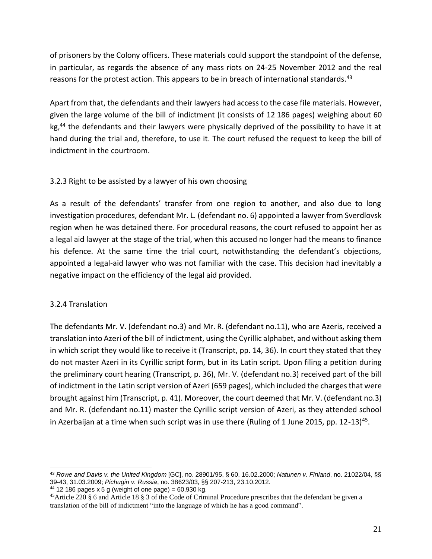of prisoners by the Colony officers. These materials could support the standpoint of the defense, in particular, as regards the absence of any mass riots on 24-25 November 2012 and the real reasons for the protest action. This appears to be in breach of international standards.<sup>43</sup>

Apart from that, the defendants and their lawyers had access to the case file materials. However, given the large volume of the bill of indictment (it consists of 12 186 pages) weighing about 60 kg,<sup>44</sup> the defendants and their lawyers were physically deprived of the possibility to have it at hand during the trial and, therefore, to use it. The court refused the request to keep the bill of indictment in the courtroom.

#### 3.2.3 Right to be assisted by a lawyer of his own choosing

As a result of the defendants' transfer from one region to another, and also due to long investigation procedures, defendant Mr. L. (defendant no. 6) appointed a lawyer from Sverdlovsk region when he was detained there. For procedural reasons, the court refused to appoint her as a legal aid lawyer at the stage of the trial, when this accused no longer had the means to finance his defence. At the same time the trial court, notwithstanding the defendant's objections, appointed a legal-aid lawyer who was not familiar with the case. This decision had inevitably a negative impact on the efficiency of the legal aid provided.

#### 3.2.4 Translation

The defendants Mr. V. (defendant no.3) and Mr. R. (defendant no.11), who are Azeris, received a translation into Azeri of the bill of indictment, using the Cyrillic alphabet, and without asking them in which script they would like to receive it (Transcript, pp. 14, 36). In court they stated that they do not master Azeri in its Cyrillic script form, but in its Latin script. Upon filing a petition during the preliminary court hearing (Transcript, p. 36), Mr. V. (defendant no.3) received part of the bill of indictment in the Latin script version of Azeri (659 pages), which included the charges that were brought against him (Transcript, p. 41). Moreover, the court deemed that Mr. V. (defendant no.3) and Mr. R. (defendant no.11) master the Cyrillic script version of Azeri, as they attended school in Azerbaijan at a time when such script was in use there (Ruling of 1 June 2015, pp. 12-13)<sup>45</sup>.

 $44$  12 186 pages x 5 g (weight of one page) = 60,930 kg.

<sup>43</sup> *Rowe and Davis v. the United Kingdom* [GC], no. 28901/95, § 60, 16.02.2000; *Natunen v. Finland*, no. 21022/04, §§ 39-43, 31.03.2009; *Pichugin v. Russia*, no. 38623/03, §§ 207-213, 23.10.2012.

<sup>45</sup>Article 220 § 6 and Article 18 § 3 of the Code of Criminal Procedure prescribes that the defendant be given a translation of the bill of indictment "into the language of which he has a good command".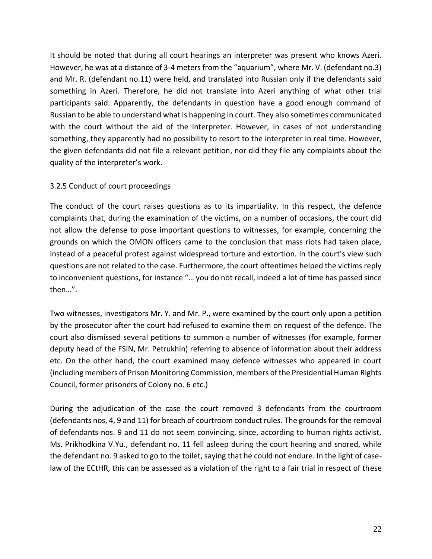It should be noted that during all court hearings an interpreter was present who knows Azeri. However, he was at a distance of 3-4 meters from the "aquarium", where Mr. V. (defendant no.3) and Mr. R. (defendant no.11) were held, and translated into Russian only if the defendants said something in Azeri. Therefore, he did not translate into Azeri anything of what other trial participants said. Apparently, the defendants in question have a good enough command of Russian to be able to understand what is happening in court. They also sometimes communicated with the court without the aid of the interpreter. However, in cases of not understanding something, they apparently had no possibility to resort to the interpreter in real time. However, the given defendants did not file a relevant petition, nor did they file any complaints about the quality of the interpreter's work.

#### 3.2.5 Conduct of court proceedings

The conduct of the court raises questions as to its impartiality. In this respect, the defence complaints that, during the examination of the victims, on a number of occasions, the court did not allow the defense to pose important questions to witnesses, for example, concerning the grounds on which the OMON officers came to the conclusion that mass riots had taken place, instead of a peaceful protest against widespread torture and extortion. In the court's view such questions are not related to the case. Furthermore, the court oftentimes helped the victims reply to inconvenient questions, for instance "… you do not recall, indeed a lot of time has passed since then…".

Two witnesses, investigators Mr. Y. and Mr. P., were examined by the court only upon a petition by the prosecutor after the court had refused to examine them on request of the defence. The court also dismissed several petitions to summon a number of witnesses (for example, former deputy head of the FSIN, Mr. Petrukhin) referring to absence of information about their address etc. On the other hand, the court examined many defence witnesses who appeared in court (including members of Prison Monitoring Commission, members of the Presidential Human Rights Council, former prisoners of Colony no. 6 etc.)

During the adjudication of the case the court removed 3 defendants from the courtroom (defendants nos, 4, 9 and 11) for breach of courtroom conduct rules. The grounds for the removal of defendants nos. 9 and 11 do not seem convincing, since, according to human rights activist, Ms. Prikhodkina V.Yu., defendant no. 11 fell asleep during the court hearing and snored, while the defendant no. 9 asked to go to the toilet, saying that he could not endure. In the light of caselaw of the ECtHR, this can be assessed as a violation of the right to a fair trial in respect of these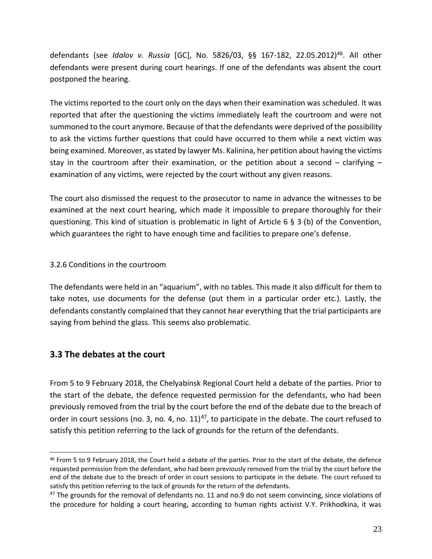defendants (see *Idalov v. Russia* [GC], No. 5826/03, §§ 167-182, 22.05.2012)<sup>46</sup>. All other defendants were present during court hearings. If one of the defendants was absent the court postponed the hearing.

The victims reported to the court only on the days when their examination was scheduled. It was reported that after the questioning the victims immediately leaft the courtroom and were not summoned to the court anymore. Because of that the defendants were deprived of the possibility to ask the victims further questions that could have occurred to them while a next victim was being examined. Moreover, as stated by lawyer Ms. Kalinina, her petition about having the victims stay in the courtroom after their examination, or the petition about a second  $-$  clarifying  $$ examination of any victims, were rejected by the court without any given reasons.

The court also dismissed the request to the prosecutor to name in advance the witnesses to be examined at the next court hearing, which made it impossible to prepare thoroughly for their questioning. This kind of situation is problematic in light of Article 6 § 3 (b) of the Convention, which guarantees the right to have enough time and facilities to prepare one's defense.

#### 3.2.6 Conditions in the courtroom

The defendants were held in an "aquarium", with no tables. This made it also difficult for them to take notes, use documents for the defense (put them in a particular order etc.). Lastly, the defendants constantly complained that they cannot hear everything that the trial participants are saying from behind the glass. This seems also problematic.

#### **3.3 The debates at the court**

From 5 to 9 February 2018, the Chelyabinsk Regional Court held a debate of the parties. Prior to the start of the debate, the defence requested permission for the defendants, who had been previously removed from the trial by the court before the end of the debate due to the breach of order in court sessions (no. 3, no. 4, no.  $11)^{47}$ , to participate in the debate. The court refused to satisfy this petition referring to the lack of grounds for the return of the defendants.

<sup>46</sup> From 5 to 9 February 2018, the Court held a debate of the parties. Prior to the start of the debate, the defence requested permission from the defendant, who had been previously removed from the trial by the court before the end of the debate due to the breach of order in court sessions to participate in the debate. The court refused to satisfy this petition referring to the lack of grounds for the return of the defendants.

 $47$  The grounds for the removal of defendants no. 11 and no.9 do not seem convincing, since violations of the procedure for holding a court hearing, according to human rights activist V.Y. Prikhodkina, it was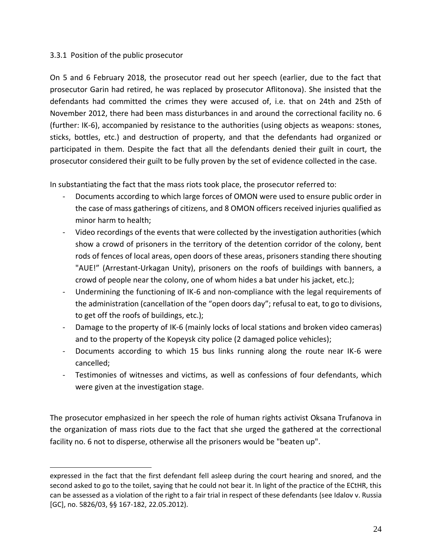#### 3.3.1 Position of the public prosecutor

On 5 and 6 February 2018, the prosecutor read out her speech (earlier, due to the fact that prosecutor Garin had retired, he was replaced by prosecutor Aflitonova). She insisted that the defendants had committed the crimes they were accused of, i.e. that on 24th and 25th of November 2012, there had been mass disturbances in and around the correctional facility no. 6 (further: IK-6), accompanied by resistance to the authorities (using objects as weapons: stones, sticks, bottles, etc.) and destruction of property, and that the defendants had organized or participated in them. Despite the fact that all the defendants denied their guilt in court, the prosecutor considered their guilt to be fully proven by the set of evidence collected in the case.

In substantiating the fact that the mass riots took place, the prosecutor referred to:

- Documents according to which large forces of OMON were used to ensure public order in the case of mass gatherings of citizens, and 8 OMON officers received injuries qualified as minor harm to health;
- Video recordings of the events that were collected by the investigation authorities (which show a crowd of prisoners in the territory of the detention corridor of the colony, bent rods of fences of local areas, open doors of these areas, prisoners standing there shouting "AUE!" (Arrestant-Urkagan Unity), prisoners on the roofs of buildings with banners, a crowd of people near the colony, one of whom hides a bat under his jacket, etc.);
- Undermining the functioning of IK-6 and non-compliance with the legal requirements of the administration (cancellation of the "open doors day"; refusal to eat, to go to divisions, to get off the roofs of buildings, etc.);
- Damage to the property of IK-6 (mainly locks of local stations and broken video cameras) and to the property of the Kopeysk city police (2 damaged police vehicles);
- Documents according to which 15 bus links running along the route near IK-6 were cancelled;
- Testimonies of witnesses and victims, as well as confessions of four defendants, which were given at the investigation stage.

The prosecutor emphasized in her speech the role of human rights activist Oksana Trufanova in the organization of mass riots due to the fact that she urged the gathered at the correctional facility no. 6 not to disperse, otherwise all the prisoners would be "beaten up".

expressed in the fact that the first defendant fell asleep during the court hearing and snored, and the second asked to go to the toilet, saying that he could not bear it. In light of the practice of the ECtHR, this can be assessed as a violation of the right to a fair trial in respect of these defendants (see Idalov v. Russia [GC], no. 5826/03, §§ 167-182, 22.05.2012).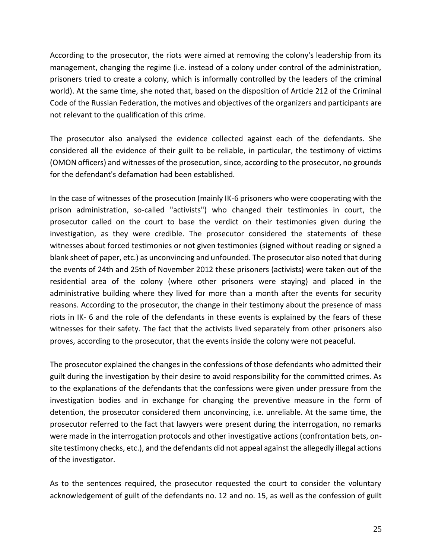According to the prosecutor, the riots were aimed at removing the colony's leadership from its management, changing the regime (i.e. instead of a colony under control of the administration, prisoners tried to create a colony, which is informally controlled by the leaders of the criminal world). At the same time, she noted that, based on the disposition of Article 212 of the Criminal Code of the Russian Federation, the motives and objectives of the organizers and participants are not relevant to the qualification of this crime.

The prosecutor also analysed the evidence collected against each of the defendants. She considered all the evidence of their guilt to be reliable, in particular, the testimony of victims (OMON officers) and witnesses of the prosecution, since, according to the prosecutor, no grounds for the defendant's defamation had been established.

In the case of witnesses of the prosecution (mainly IK-6 prisoners who were cooperating with the prison administration, so-called "activists") who changed their testimonies in court, the prosecutor called on the court to base the verdict on their testimonies given during the investigation, as they were credible. The prosecutor considered the statements of these witnesses about forced testimonies or not given testimonies (signed without reading or signed a blank sheet of paper, etc.) as unconvincing and unfounded. The prosecutor also noted that during the events of 24th and 25th of November 2012 these prisoners (activists) were taken out of the residential area of the colony (where other prisoners were staying) and placed in the administrative building where they lived for more than a month after the events for security reasons. According to the prosecutor, the change in their testimony about the presence of mass riots in IK- 6 and the role of the defendants in these events is explained by the fears of these witnesses for their safety. The fact that the activists lived separately from other prisoners also proves, according to the prosecutor, that the events inside the colony were not peaceful.

The prosecutor explained the changes in the confessions of those defendants who admitted their guilt during the investigation by their desire to avoid responsibility for the committed crimes. As to the explanations of the defendants that the confessions were given under pressure from the investigation bodies and in exchange for changing the preventive measure in the form of detention, the prosecutor considered them unconvincing, i.e. unreliable. At the same time, the prosecutor referred to the fact that lawyers were present during the interrogation, no remarks were made in the interrogation protocols and other investigative actions (confrontation bets, onsite testimony checks, etc.), and the defendants did not appeal against the allegedly illegal actions of the investigator.

As to the sentences required, the prosecutor requested the court to consider the voluntary acknowledgement of guilt of the defendants no. 12 and no. 15, as well as the confession of guilt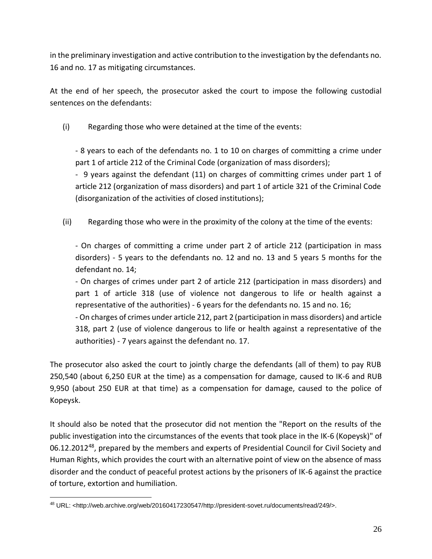in the preliminary investigation and active contribution to the investigation by the defendants no. 16 and no. 17 as mitigating circumstances.

At the end of her speech, the prosecutor asked the court to impose the following custodial sentences on the defendants:

(i) Regarding those who were detained at the time of the events:

- 8 years to each of the defendants no. 1 to 10 on charges of committing a crime under part 1 of article 212 of the Criminal Code (organization of mass disorders);

- 9 years against the defendant (11) on charges of committing crimes under part 1 of article 212 (organization of mass disorders) and part 1 of article 321 of the Criminal Code (disorganization of the activities of closed institutions);

(ii) Regarding those who were in the proximity of the colony at the time of the events:

- On charges of committing a crime under part 2 of article 212 (participation in mass disorders) - 5 years to the defendants no. 12 and no. 13 and 5 years 5 months for the defendant no. 14;

- On charges of crimes under part 2 of article 212 (participation in mass disorders) and part 1 of article 318 (use of violence not dangerous to life or health against a representative of the authorities) - 6 years for the defendants no. 15 and no. 16;

- On charges of crimes under article 212, part 2 (participation in mass disorders) and article 318, part 2 (use of violence dangerous to life or health against a representative of the authorities) - 7 years against the defendant no. 17.

The prosecutor also asked the court to jointly charge the defendants (all of them) to pay RUB 250,540 (about 6,250 EUR at the time) as a compensation for damage, caused to IK-6 and RUB 9,950 (about 250 EUR at that time) as a compensation for damage, caused to the police of Kopeysk.

It should also be noted that the prosecutor did not mention the "Report on the results of the public investigation into the circumstances of the events that took place in the IK-6 (Kopeysk)" of 06.12.2012<sup>48</sup>, prepared by the members and experts of Presidential Council for Civil Society and Human Rights, which provides the court with an alternative point of view on the absence of mass disorder and the conduct of peaceful protest actions by the prisoners of IK-6 against the practice of torture, extortion and humiliation.

<sup>48</sup> URL: <http://web.archive.org/web/20160417230547/http://president-sovet.ru/documents/read/249/>.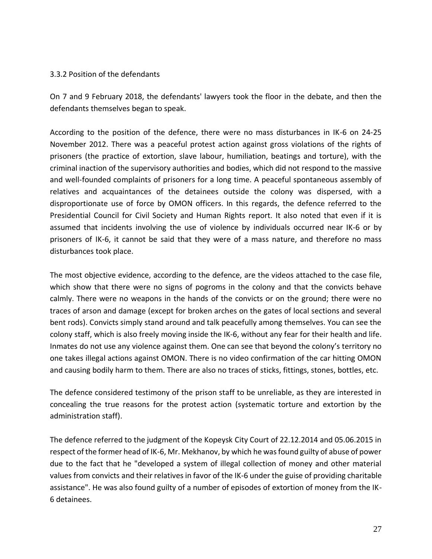#### 3.3.2 Position of the defendants

On 7 and 9 February 2018, the defendants' lawyers took the floor in the debate, and then the defendants themselves began to speak.

According to the position of the defence, there were no mass disturbances in IK-6 on 24-25 November 2012. There was a peaceful protest action against gross violations of the rights of prisoners (the practice of extortion, slave labour, humiliation, beatings and torture), with the criminal inaction of the supervisory authorities and bodies, which did not respond to the massive and well-founded complaints of prisoners for a long time. A peaceful spontaneous assembly of relatives and acquaintances of the detainees outside the colony was dispersed, with a disproportionate use of force by OMON officers. In this regards, the defence referred to the Presidential Council for Civil Society and Human Rights report. It also noted that even if it is assumed that incidents involving the use of violence by individuals occurred near IK-6 or by prisoners of IK-6, it cannot be said that they were of a mass nature, and therefore no mass disturbances took place.

The most objective evidence, according to the defence, are the videos attached to the case file, which show that there were no signs of pogroms in the colony and that the convicts behave calmly. There were no weapons in the hands of the convicts or on the ground; there were no traces of arson and damage (except for broken arches on the gates of local sections and several bent rods). Convicts simply stand around and talk peacefully among themselves. You can see the colony staff, which is also freely moving inside the IK-6, without any fear for their health and life. Inmates do not use any violence against them. One can see that beyond the colony's territory no one takes illegal actions against OMON. There is no video confirmation of the car hitting OMON and causing bodily harm to them. There are also no traces of sticks, fittings, stones, bottles, etc.

The defence considered testimony of the prison staff to be unreliable, as they are interested in concealing the true reasons for the protest action (systematic torture and extortion by the administration staff).

The defence referred to the judgment of the Kopeysk City Court of 22.12.2014 and 05.06.2015 in respect of the former head of IK-6, Mr. Mekhanov, by which he was found guilty of abuse of power due to the fact that he "developed a system of illegal collection of money and other material values from convicts and their relatives in favor of the IK-6 under the guise of providing charitable assistance". He was also found guilty of a number of episodes of extortion of money from the IK-6 detainees.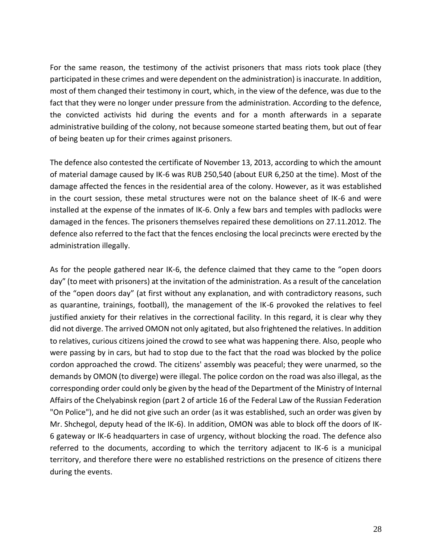For the same reason, the testimony of the activist prisoners that mass riots took place (they participated in these crimes and were dependent on the administration) is inaccurate. In addition, most of them changed their testimony in court, which, in the view of the defence, was due to the fact that they were no longer under pressure from the administration. According to the defence, the convicted activists hid during the events and for a month afterwards in a separate administrative building of the colony, not because someone started beating them, but out of fear of being beaten up for their crimes against prisoners.

The defence also contested the certificate of November 13, 2013, according to which the amount of material damage caused by IK-6 was RUB 250,540 (about EUR 6,250 at the time). Most of the damage affected the fences in the residential area of the colony. However, as it was established in the court session, these metal structures were not on the balance sheet of IK-6 and were installed at the expense of the inmates of IK-6. Only a few bars and temples with padlocks were damaged in the fences. The prisoners themselves repaired these demolitions on 27.11.2012. The defence also referred to the fact that the fences enclosing the local precincts were erected by the administration illegally.

As for the people gathered near IK-6, the defence claimed that they came to the "open doors day" (to meet with prisoners) at the invitation of the administration. As a result of the cancelation of the "open doors day" (at first without any explanation, and with contradictory reasons, such as quarantine, trainings, football), the management of the IK-6 provoked the relatives to feel justified anxiety for their relatives in the correctional facility. In this regard, it is clear why they did not diverge. The arrived OMON not only agitated, but also frightened the relatives. In addition to relatives, curious citizens joined the crowd to see what was happening there. Also, people who were passing by in cars, but had to stop due to the fact that the road was blocked by the police cordon approached the crowd. The citizens' assembly was peaceful; they were unarmed, so the demands by OMON (to diverge) were illegal. The police cordon on the road was also illegal, as the corresponding order could only be given by the head of the Department of the Ministry of Internal Affairs of the Chelyabinsk region (part 2 of article 16 of the Federal Law of the Russian Federation "On Police"), and he did not give such an order (as it was established, such an order was given by Mr. Shchegol, deputy head of the IK-6). In addition, OMON was able to block off the doors of IK-6 gateway or IK-6 headquarters in case of urgency, without blocking the road. The defence also referred to the documents, according to which the territory adjacent to IK-6 is a municipal territory, and therefore there were no established restrictions on the presence of citizens there during the events.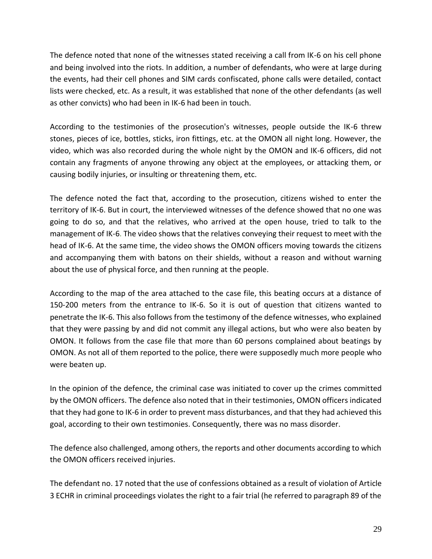The defence noted that none of the witnesses stated receiving a call from IK-6 on his cell phone and being involved into the riots. In addition, a number of defendants, who were at large during the events, had their cell phones and SIM cards confiscated, phone calls were detailed, contact lists were checked, etc. As a result, it was established that none of the other defendants (as well as other convicts) who had been in IK-6 had been in touch.

According to the testimonies of the prosecution's witnesses, people outside the IK-6 threw stones, pieces of ice, bottles, sticks, iron fittings, etc. at the OMON all night long. However, the video, which was also recorded during the whole night by the OMON and IK-6 officers, did not contain any fragments of anyone throwing any object at the employees, or attacking them, or causing bodily injuries, or insulting or threatening them, etc.

The defence noted the fact that, according to the prosecution, citizens wished to enter the territory of IK-6. But in court, the interviewed witnesses of the defence showed that no one was going to do so, and that the relatives, who arrived at the open house, tried to talk to the management of IK-6. The video shows that the relatives conveying their request to meet with the head of IK-6. At the same time, the video shows the OMON officers moving towards the citizens and accompanying them with batons on their shields, without a reason and without warning about the use of physical force, and then running at the people.

According to the map of the area attached to the case file, this beating occurs at a distance of 150-200 meters from the entrance to IK-6. So it is out of question that citizens wanted to penetrate the IK-6. This also follows from the testimony of the defence witnesses, who explained that they were passing by and did not commit any illegal actions, but who were also beaten by OMON. It follows from the case file that more than 60 persons complained about beatings by OMON. As not all of them reported to the police, there were supposedly much more people who were beaten up.

In the opinion of the defence, the criminal case was initiated to cover up the crimes committed by the OMON officers. The defence also noted that in their testimonies, OMON officers indicated that they had gone to IK-6 in order to prevent mass disturbances, and that they had achieved this goal, according to their own testimonies. Consequently, there was no mass disorder.

The defence also challenged, among others, the reports and other documents according to which the OMON officers received injuries.

The defendant no. 17 noted that the use of confessions obtained as a result of violation of Article 3 ECHR in criminal proceedings violates the right to a fair trial (he referred to paragraph 89 of the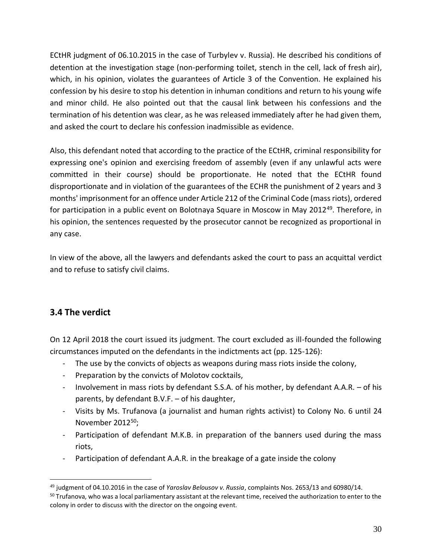ECtHR judgment of 06.10.2015 in the case of Turbylev v. Russia). He described his conditions of detention at the investigation stage (non-performing toilet, stench in the cell, lack of fresh air), which, in his opinion, violates the guarantees of Article 3 of the Convention. He explained his confession by his desire to stop his detention in inhuman conditions and return to his young wife and minor child. He also pointed out that the causal link between his confessions and the termination of his detention was clear, as he was released immediately after he had given them, and asked the court to declare his confession inadmissible as evidence.

Also, this defendant noted that according to the practice of the ECtHR, criminal responsibility for expressing one's opinion and exercising freedom of assembly (even if any unlawful acts were committed in their course) should be proportionate. He noted that the ECtHR found disproportionate and in violation of the guarantees of the ECHR the punishment of 2 years and 3 months' imprisonment for an offence under Article 212 of the Criminal Code (mass riots), ordered for participation in a public event on Bolotnaya Square in Moscow in May 2012<sup>49</sup>. Therefore, in his opinion, the sentences requested by the prosecutor cannot be recognized as proportional in any case.

In view of the above, all the lawyers and defendants asked the court to pass an acquittal verdict and to refuse to satisfy civil claims.

# **3.4 The verdict**

On 12 April 2018 the court issued its judgment. The court excluded as ill-founded the following circumstances imputed on the defendants in the indictments act (pp. 125-126):

- The use by the convicts of objects as weapons during mass riots inside the colony,
- Preparation by the convicts of Molotov cocktails,
- Involvement in mass riots by defendant S.S.A. of his mother, by defendant A.A.R. of his parents, by defendant B.V.F. – of his daughter,
- Visits by Ms. Trufanova (a journalist and human rights activist) to Colony No. 6 until 24 November 2012<sup>50</sup>;
- Participation of defendant M.K.B. in preparation of the banners used during the mass riots,
- Participation of defendant A.A.R. in the breakage of a gate inside the colony

<sup>49</sup> judgment of 04.10.2016 in the case of *Yaroslav Belousov v. Russia*, complaints Nos. 2653/13 and 60980/14.

<sup>&</sup>lt;sup>50</sup> Trufanova, who was a local parliamentary assistant at the relevant time, received the authorization to enter to the colony in order to discuss with the director on the ongoing event.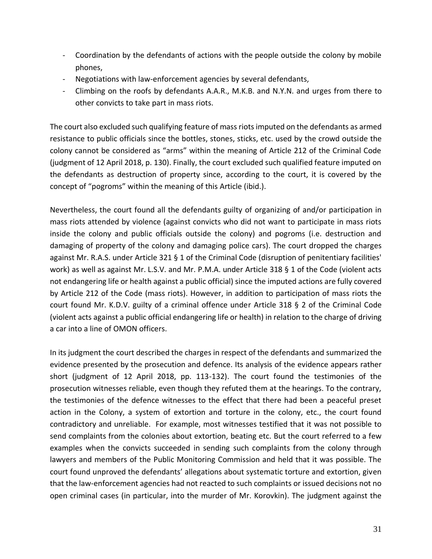- Coordination by the defendants of actions with the people outside the colony by mobile phones,
- Negotiations with law-enforcement agencies by several defendants,
- Climbing on the roofs by defendants A.A.R., M.K.B. and N.Y.N. and urges from there to other convicts to take part in mass riots.

The court also excluded such qualifying feature of mass riots imputed on the defendants as armed resistance to public officials since the bottles, stones, sticks, etc. used by the crowd outside the colony cannot be considered as "arms" within the meaning of Article 212 of the Criminal Code (judgment of 12 April 2018, p. 130). Finally, the court excluded such qualified feature imputed on the defendants as destruction of property since, according to the court, it is covered by the concept of "pogroms" within the meaning of this Article (ibid.).

Nevertheless, the court found all the defendants guilty of organizing of and/or participation in mass riots attended by violence (against convicts who did not want to participate in mass riots inside the colony and public officials outside the colony) and pogroms (i.e. destruction and damaging of property of the colony and damaging police cars). The court dropped the charges against Mr. R.A.S. under Article 321 § 1 of the Criminal Code (disruption of penitentiary facilities' work) as well as against Mr. L.S.V. and Mr. P.M.A. under Article 318 § 1 of the Code (violent acts not endangering life or health against a public official) since the imputed actions are fully covered by Article 212 of the Code (mass riots). However, in addition to participation of mass riots the court found Mr. K.D.V. guilty of a criminal offence under Article 318 § 2 of the Criminal Code (violent acts against a public official endangering life or health) in relation to the charge of driving a car into a line of OMON officers.

In its judgment the court described the charges in respect of the defendants and summarized the evidence presented by the prosecution and defence. Its analysis of the evidence appears rather short (judgment of 12 April 2018, pp. 113-132). The court found the testimonies of the prosecution witnesses reliable, even though they refuted them at the hearings. To the contrary, the testimonies of the defence witnesses to the effect that there had been a peaceful preset action in the Colony, a system of extortion and torture in the colony, etc., the court found contradictory and unreliable. For example, most witnesses testified that it was not possible to send complaints from the colonies about extortion, beating etc. But the court referred to a few examples when the convicts succeeded in sending such complaints from the colony through lawyers and members of the Public Monitoring Commission and held that it was possible. The court found unproved the defendants' allegations about systematic torture and extortion, given that the law-enforcement agencies had not reacted to such complaints or issued decisions not no open criminal cases (in particular, into the murder of Mr. Korovkin). The judgment against the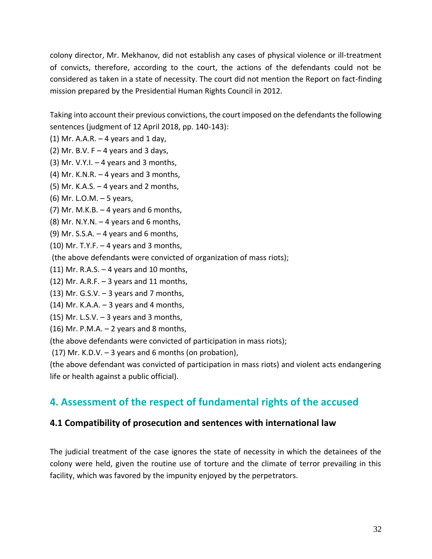colony director, Mr. Mekhanov, did not establish any cases of physical violence or ill-treatment of convicts, therefore, according to the court, the actions of the defendants could not be considered as taken in a state of necessity. The court did not mention the Report on fact-finding mission prepared by the Presidential Human Rights Council in 2012.

Taking into account their previous convictions, the court imposed on the defendants the following sentences (judgment of 12 April 2018, pp. 140-143):

- (1) Mr. A.A.R.  $-$  4 years and 1 day,
- (2) Mr. B.V.  $F 4$  years and 3 days,
- (3) Mr. V.Y.I.  $-4$  years and 3 months,
- (4) Mr. K.N.R.  $-$  4 years and 3 months,
- (5) Mr. K.A.S. 4 years and 2 months,
- (6) Mr. L.O.M. 5 years,
- (7) Mr. M.K.B.  $-4$  years and 6 months,
- (8) Mr. N.Y.N.  $-4$  years and 6 months,
- (9) Mr. S.S.A.  $-4$  years and 6 months,
- $(10)$  Mr. T.Y.F.  $-$  4 years and 3 months,
- (the above defendants were convicted of organization of mass riots);
- $(11)$  Mr. R.A.S.  $-4$  years and 10 months,
- $(12)$  Mr. A.R.F.  $-$  3 years and 11 months,
- $(13)$  Mr. G.S.V.  $-3$  years and 7 months,
- $(14)$  Mr. K.A.A.  $-$  3 years and 4 months,
- $(15)$  Mr. L.S.V.  $-3$  years and 3 months,
- (16) Mr. P.M.A.  $-2$  years and 8 months,

(the above defendants were convicted of participation in mass riots);

(17) Mr. K.D.V. – 3 years and 6 months (on probation),

(the above defendant was convicted of participation in mass riots) and violent acts endangering life or health against a public official).

# **4. Assessment of the respect of fundamental rights of the accused**

# **4.1 Compatibility of prosecution and sentences with international law**

The judicial treatment of the case ignores the state of necessity in which the detainees of the colony were held, given the routine use of torture and the climate of terror prevailing in this facility, which was favored by the impunity enjoyed by the perpetrators.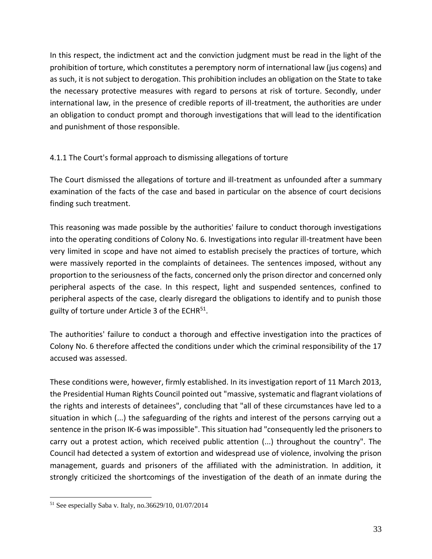In this respect, the indictment act and the conviction judgment must be read in the light of the prohibition of torture, which constitutes a peremptory norm of international law (jus cogens) and as such, it is not subject to derogation. This prohibition includes an obligation on the State to take the necessary protective measures with regard to persons at risk of torture. Secondly, under international law, in the presence of credible reports of ill-treatment, the authorities are under an obligation to conduct prompt and thorough investigations that will lead to the identification and punishment of those responsible.

#### 4.1.1 The Court's formal approach to dismissing allegations of torture

The Court dismissed the allegations of torture and ill-treatment as unfounded after a summary examination of the facts of the case and based in particular on the absence of court decisions finding such treatment.

This reasoning was made possible by the authorities' failure to conduct thorough investigations into the operating conditions of Colony No. 6. Investigations into regular ill-treatment have been very limited in scope and have not aimed to establish precisely the practices of torture, which were massively reported in the complaints of detainees. The sentences imposed, without any proportion to the seriousness of the facts, concerned only the prison director and concerned only peripheral aspects of the case. In this respect, light and suspended sentences, confined to peripheral aspects of the case, clearly disregard the obligations to identify and to punish those guilty of torture under Article 3 of the ECHR<sup>51</sup>.

The authorities' failure to conduct a thorough and effective investigation into the practices of Colony No. 6 therefore affected the conditions under which the criminal responsibility of the 17 accused was assessed.

These conditions were, however, firmly established. In its investigation report of 11 March 2013, the Presidential Human Rights Council pointed out "massive, systematic and flagrant violations of the rights and interests of detainees", concluding that "all of these circumstances have led to a situation in which (...) the safeguarding of the rights and interest of the persons carrying out a sentence in the prison IK-6 was impossible". This situation had "consequently led the prisoners to carry out a protest action, which received public attention (...) throughout the country". The Council had detected a system of extortion and widespread use of violence, involving the prison management, guards and prisoners of the affiliated with the administration. In addition, it strongly criticized the shortcomings of the investigation of the death of an inmate during the

<sup>51</sup> See especially Saba v. Italy, no.36629/10, 01/07/2014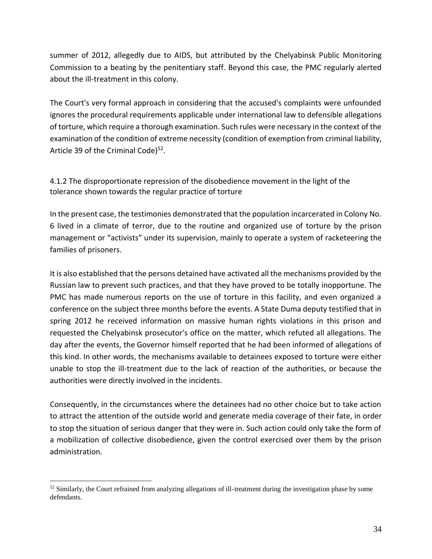summer of 2012, allegedly due to AIDS, but attributed by the Chelyabinsk Public Monitoring Commission to a beating by the penitentiary staff. Beyond this case, the PMC regularly alerted about the ill-treatment in this colony.

The Court's very formal approach in considering that the accused's complaints were unfounded ignores the procedural requirements applicable under international law to defensible allegations of torture, which require a thorough examination. Such rules were necessary in the context of the examination of the condition of extreme necessity (condition of exemption from criminal liability, Article 39 of the Criminal Code)<sup>52</sup>.

4.1.2 The disproportionate repression of the disobedience movement in the light of the tolerance shown towards the regular practice of torture

In the present case, the testimonies demonstrated that the population incarcerated in Colony No. 6 lived in a climate of terror, due to the routine and organized use of torture by the prison management or "activists" under its supervision, mainly to operate a system of racketeering the families of prisoners.

It is also established that the persons detained have activated all the mechanisms provided by the Russian law to prevent such practices, and that they have proved to be totally inopportune. The PMC has made numerous reports on the use of torture in this facility, and even organized a conference on the subject three months before the events. A State Duma deputy testified that in spring 2012 he received information on massive human rights violations in this prison and requested the Chelyabinsk prosecutor's office on the matter, which refuted all allegations. The day after the events, the Governor himself reported that he had been informed of allegations of this kind. In other words, the mechanisms available to detainees exposed to torture were either unable to stop the ill-treatment due to the lack of reaction of the authorities, or because the authorities were directly involved in the incidents.

Consequently, in the circumstances where the detainees had no other choice but to take action to attract the attention of the outside world and generate media coverage of their fate, in order to stop the situation of serious danger that they were in. Such action could only take the form of a mobilization of collective disobedience, given the control exercised over them by the prison administration.

 $52$  Similarly, the Court refrained from analyzing allegations of ill-treatment during the investigation phase by some defendants.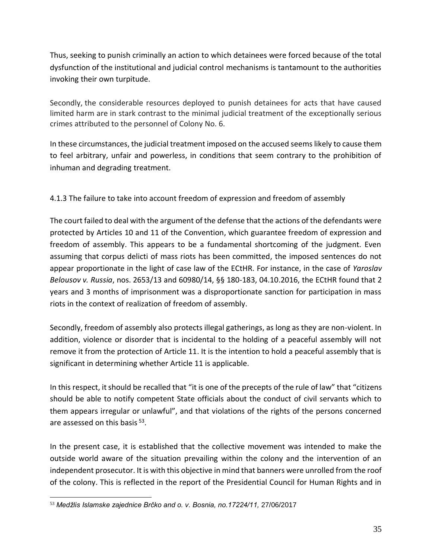Thus, seeking to punish criminally an action to which detainees were forced because of the total dysfunction of the institutional and judicial control mechanisms is tantamount to the authorities invoking their own turpitude.

Secondly, the considerable resources deployed to punish detainees for acts that have caused limited harm are in stark contrast to the minimal judicial treatment of the exceptionally serious crimes attributed to the personnel of Colony No. 6.

In these circumstances, the judicial treatment imposed on the accused seems likely to cause them to feel arbitrary, unfair and powerless, in conditions that seem contrary to the prohibition of inhuman and degrading treatment.

4.1.3 The failure to take into account freedom of expression and freedom of assembly

The court failed to deal with the argument of the defense that the actions of the defendants were protected by Articles 10 and 11 of the Convention, which guarantee freedom of expression and freedom of assembly. This appears to be a fundamental shortcoming of the judgment. Even assuming that corpus delicti of mass riots has been committed, the imposed sentences do not appear proportionate in the light of case law of the ECtHR. For instance, in the case of *Yaroslav Belousov v. Russia*, nos. 2653/13 and 60980/14, §§ 180-183, 04.10.2016, the ECtHR found that 2 years and 3 months of imprisonment was a disproportionate sanction for participation in mass riots in the context of realization of freedom of assembly.

Secondly, freedom of assembly also protects illegal gatherings, as long as they are non-violent. In addition, violence or disorder that is incidental to the holding of a peaceful assembly will not remove it from the protection of Article 11. It is the intention to hold a peaceful assembly that is significant in determining whether Article 11 is applicable.

In this respect, it should be recalled that "it is one of the precepts of the rule of law" that "citizens should be able to notify competent State officials about the conduct of civil servants which to them appears irregular or unlawful", and that violations of the rights of the persons concerned are assessed on this basis <sup>53</sup>.

In the present case, it is established that the collective movement was intended to make the outside world aware of the situation prevailing within the colony and the intervention of an independent prosecutor. It is with this objective in mind that banners were unrolled from the roof of the colony. This is reflected in the report of the Presidential Council for Human Rights and in

<sup>53</sup> *Medžlis Islamske zajednice Brčko and o. v. Bosnia, no.17224/11,* 27/06/2017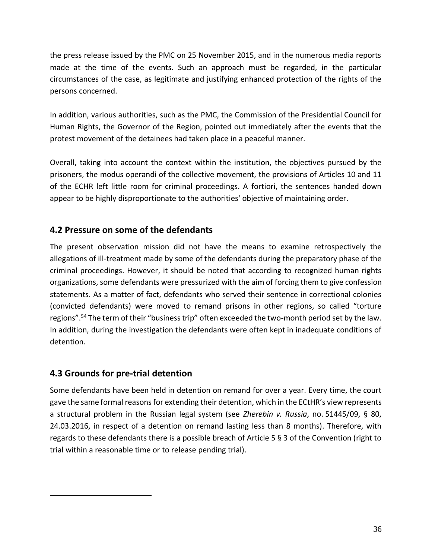the press release issued by the PMC on 25 November 2015, and in the numerous media reports made at the time of the events. Such an approach must be regarded, in the particular circumstances of the case, as legitimate and justifying enhanced protection of the rights of the persons concerned.

In addition, various authorities, such as the PMC, the Commission of the Presidential Council for Human Rights, the Governor of the Region, pointed out immediately after the events that the protest movement of the detainees had taken place in a peaceful manner.

Overall, taking into account the context within the institution, the objectives pursued by the prisoners, the modus operandi of the collective movement, the provisions of Articles 10 and 11 of the ECHR left little room for criminal proceedings. A fortiori, the sentences handed down appear to be highly disproportionate to the authorities' objective of maintaining order.

# **4.2 Pressure on some of the defendants**

The present observation mission did not have the means to examine retrospectively the allegations of ill-treatment made by some of the defendants during the preparatory phase of the criminal proceedings. However, it should be noted that according to recognized human rights organizations, some defendants were pressurized with the aim of forcing them to give confession statements. As a matter of fact, defendants who served their sentence in correctional colonies (convicted defendants) were moved to remand prisons in other regions, so called "torture regions".<sup>54</sup> The term of their "business trip" often exceeded the two-month period set by the law. In addition, during the investigation the defendants were often kept in inadequate conditions of detention.

# **4.3 Grounds for pre-trial detention**

Some defendants have been held in detention on remand for over a year. Every time, the court gave the same formal reasons for extending their detention, which in the ECtHR's view represents a structural problem in the Russian legal system (see *Zherebin v. Russia*, no. 51445/09, § 80, 24.03.2016, in respect of a detention on remand lasting less than 8 months). Therefore, with regards to these defendants there is a possible breach of Article 5 § 3 of the Convention (right to trial within a reasonable time or to release pending trial).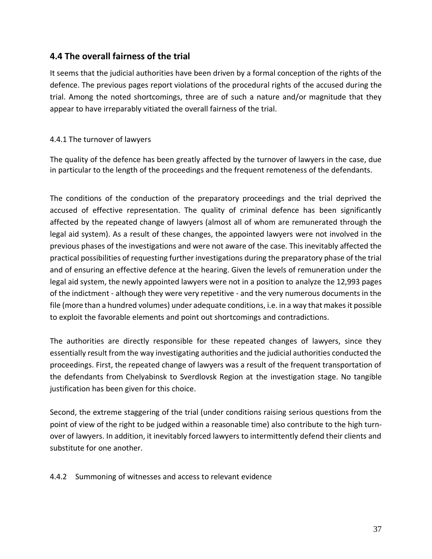### **4.4 The overall fairness of the trial**

It seems that the judicial authorities have been driven by a formal conception of the rights of the defence. The previous pages report violations of the procedural rights of the accused during the trial. Among the noted shortcomings, three are of such a nature and/or magnitude that they appear to have irreparably vitiated the overall fairness of the trial.

#### 4.4.1 The turnover of lawyers

The quality of the defence has been greatly affected by the turnover of lawyers in the case, due in particular to the length of the proceedings and the frequent remoteness of the defendants.

The conditions of the conduction of the preparatory proceedings and the trial deprived the accused of effective representation. The quality of criminal defence has been significantly affected by the repeated change of lawyers (almost all of whom are remunerated through the legal aid system). As a result of these changes, the appointed lawyers were not involved in the previous phases of the investigations and were not aware of the case. This inevitably affected the practical possibilities of requesting further investigations during the preparatory phase of the trial and of ensuring an effective defence at the hearing. Given the levels of remuneration under the legal aid system, the newly appointed lawyers were not in a position to analyze the 12,993 pages of the indictment - although they were very repetitive - and the very numerous documents in the file (more than a hundred volumes) under adequate conditions, i.e. in a way that makes it possible to exploit the favorable elements and point out shortcomings and contradictions.

The authorities are directly responsible for these repeated changes of lawyers, since they essentially result from the way investigating authorities and the judicial authorities conducted the proceedings. First, the repeated change of lawyers was a result of the frequent transportation of the defendants from Chelyabinsk to Sverdlovsk Region at the investigation stage. No tangible justification has been given for this choice.

Second, the extreme staggering of the trial (under conditions raising serious questions from the point of view of the right to be judged within a reasonable time) also contribute to the high turnover of lawyers. In addition, it inevitably forced lawyers to intermittently defend their clients and substitute for one another.

#### 4.4.2 Summoning of witnesses and access to relevant evidence